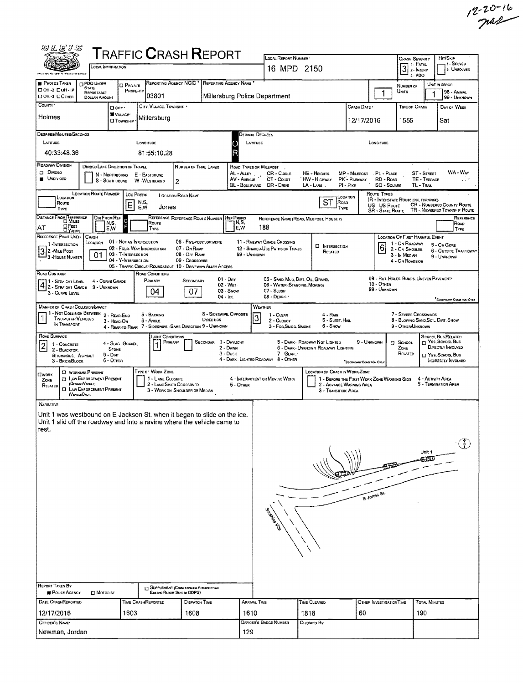|                                                                                                                                                                                  |                                  |                                                                       |                                            |                                                                                                      |                                                                                                      |                                                                             |                                                          |                                             |                                                                                                   |                                                                                          |                                                |                                                                                                         |                                                                                                         |                                        | $12 - 20 - 16$                                                                                                 |
|----------------------------------------------------------------------------------------------------------------------------------------------------------------------------------|----------------------------------|-----------------------------------------------------------------------|--------------------------------------------|------------------------------------------------------------------------------------------------------|------------------------------------------------------------------------------------------------------|-----------------------------------------------------------------------------|----------------------------------------------------------|---------------------------------------------|---------------------------------------------------------------------------------------------------|------------------------------------------------------------------------------------------|------------------------------------------------|---------------------------------------------------------------------------------------------------------|---------------------------------------------------------------------------------------------------------|----------------------------------------|----------------------------------------------------------------------------------------------------------------|
|                                                                                                                                                                                  |                                  |                                                                       |                                            |                                                                                                      |                                                                                                      |                                                                             |                                                          |                                             |                                                                                                   |                                                                                          |                                                |                                                                                                         |                                                                                                         |                                        |                                                                                                                |
| 用有某人说                                                                                                                                                                            |                                  |                                                                       |                                            |                                                                                                      | <b>TRAFFIC CRASH REPORT</b>                                                                          |                                                                             |                                                          |                                             | LOCAL REPORT NUMBER                                                                               |                                                                                          |                                                |                                                                                                         | Crash Severity                                                                                          |                                        | HIT/SKIP                                                                                                       |
|                                                                                                                                                                                  |                                  | OCAL INFORMATION                                                      |                                            |                                                                                                      |                                                                                                      |                                                                             |                                                          |                                             | 16 MPD 2150                                                                                       |                                                                                          |                                                |                                                                                                         | 3<br>3. PDO                                                                                             |                                        | 1. Solved<br>2. UNSOLVED                                                                                       |
| <b>PHOTOS TAKEN</b><br>□ ОН-2 □ ОН-1Р                                                                                                                                            | <b>STATE</b>                     | <b>PDO UNDER</b><br>REPORTABLE                                        |                                            | <b>O</b> PRIVATE<br>PROPERTY                                                                         | REPORTING AGENCY NCIC * REPORTING AGENCY NAME                                                        |                                                                             |                                                          |                                             |                                                                                                   |                                                                                          |                                                | $\mathbf{1}$                                                                                            | NUMBER OF<br>UNITS                                                                                      | 1                                      | UNIT IN ERROR<br>98 - Animal                                                                                   |
| <b>DOH-3 DOTHER</b><br>COUNTY <sup>.</sup>                                                                                                                                       |                                  | <b>DOLLAR AMOUNT</b>                                                  | D city .                                   |                                                                                                      | 103801<br>CITY, VILLAGE, TOWNSHIP *                                                                  |                                                                             |                                                          |                                             | Millersburg Police Department                                                                     |                                                                                          | Сааѕн Date •                                   |                                                                                                         | <b>TIME OF CRASH</b>                                                                                    |                                        | 99 - UNKNOWN<br>DAY OF WEEK                                                                                    |
| Holmes                                                                                                                                                                           |                                  |                                                                       |                                            | VILLAGE*<br><b>CI TOWNSHIP</b>                                                                       | Millersburg                                                                                          |                                                                             |                                                          |                                             |                                                                                                   |                                                                                          | 12/17/2016                                     |                                                                                                         | 1555                                                                                                    |                                        | Sat                                                                                                            |
| DEGREES/MINUTES/SECONOS<br>LATITUDE                                                                                                                                              |                                  |                                                                       |                                            |                                                                                                      | LONGITUDE                                                                                            |                                                                             | O                                                        | LATITUDE                                    | Decimal Degrees                                                                                   |                                                                                          |                                                | LONGITUDE                                                                                               |                                                                                                         |                                        |                                                                                                                |
| 40:33:48.36                                                                                                                                                                      |                                  |                                                                       |                                            |                                                                                                      | 81:55:10.28                                                                                          |                                                                             | R                                                        |                                             |                                                                                                   |                                                                                          |                                                |                                                                                                         |                                                                                                         |                                        |                                                                                                                |
| ROADWAY DIVISION<br><b>D</b> Divipso<br>UNDIVIDED                                                                                                                                |                                  | N - NORTHBOUND<br>S - SouthBound                                      |                                            | DIVIDED LANE DIRECTION OF TRAVEL                                                                     | E - EASTBOUND<br>W -WESTBOUND<br>2                                                                   | NUMBER OF THRU LANES                                                        |                                                          | AL - ALLEY<br>AV - AVENUE<br>BL - BOULEVARD | ROAD TYPES OR MILEPOST<br>CR - Cinci E<br>CT - Count<br>DR - DRME                                 | HE - Herchts<br><b>HW - Higeway</b><br>LA - LANE                                         | MP - Milepost<br>PK - PARKWAY<br>$PI - P_{DE}$ | PL - PLACE<br>RD - ROAD<br>SQ - SQUARE                                                                  |                                                                                                         | ST-STREET<br>TE - TERRACE<br>TL - TRAL | WA - Way<br>91,                                                                                                |
| LOCATION<br>Route<br>TYPE                                                                                                                                                        |                                  | <b>LOCATION ROUTE NUMBER</b>                                          |                                            | <b>LOC PREFIX</b><br>N,S,<br>Е<br>E,W                                                                | <b>LOCATION ROAD NAME</b><br>Jones                                                                   |                                                                             |                                                          |                                             |                                                                                                   | <b>ST</b><br>ROAD                                                                        | <b>CCATION</b><br>TYPE                         | ROUTE TYPES<br><b>IR - INTERSTATE ROUTE (INC. TURNPIKE)</b><br>US - US Route<br><b>SR - STATE ROUTE</b> |                                                                                                         |                                        | CR - NUMBERED COUNTY ROUTE<br>TR - NUMBERED TOWNSHIP ROUTE                                                     |
| DISTANCE FROM REFERENCE<br>OFEET<br>AΤ<br><b>DYARDS</b>                                                                                                                          |                                  | DIR FROM REF                                                          | N,S,<br>E,W                                | Ю                                                                                                    | Route<br>TYPE                                                                                        |                                                                             | REFERENCE REFERENCE ROUTE NUMBER REF PREFIX              | IN,S,<br>E,W                                | 188                                                                                               | REFERENCE NAME (ROAD, MILEPOST, HOUSE 0)                                                 |                                                |                                                                                                         |                                                                                                         |                                        | REFERENCE<br>Road<br>TYPE                                                                                      |
| REFERENCE POINT USED<br>1-INTERSECTION<br>3 2 - MILE POST<br>3 - HOUSE NUMBER                                                                                                    | CRASH                            | LOCATION<br>01                                                        |                                            | 01 - Not an Intersection<br>02 - FOUR-WAY INTERSECTION<br>03 - T-INTERSECTION<br>04 - Y-INTERSECTION | 05 - TRAFFIC CIRCLE/ ROUNDABOUT 10 - DRIVEWAY/ ALLEY ACCESS                                          | 06 - FIVE-POINT, OR MORE<br>07 - On RAMP<br>08 - OFF RAMP<br>09 - Crossover |                                                          | 99 - UNKNOWN                                | 11 - RAILWAY GRADE CROSSING<br>12 - SHARED-USE PATHS OR TRAILS                                    | <b>D</b> INTERSECTION<br>RELATED                                                         |                                                | $6\overline{6}$                                                                                         | LOCATION OF FIRST HARMFUL EVENT<br>1 - On ROADWAY<br>2 - On Shoulde<br>3 - In Median<br>4 - On ROADSIDE |                                        | 5 - On Gore<br>6 - OUTSIDE TRAFFICWAY<br>9 - UNKNOWN                                                           |
| ROAD CONTOUR<br>4 - STRAIGHT LEVEL 4 - CURVE GRAIGHT<br>4 - STRAIGHT GRADE 9 - UNKNOWN<br>3 - CURVE LEVEL                                                                        |                                  | 4 - CURVE GRADE                                                       |                                            |                                                                                                      | ROAD CONDITIONS<br>Primary<br>04                                                                     | SECONDARY<br>07                                                             | $01 - \text{Day}$<br>02 - Wet<br>$03 -$ SNOW<br>04 - Ice |                                             | 05 - SAND, MUD, DIRT, OIL, GRAVEL<br>06 - WATER (STANOING, MOVING)<br>07 - SLUSH<br>08 - DEBRIS · |                                                                                          |                                                | 09 - RUT, HOLES, BUMPS, UNEVEN PAVEMENT*<br>$10 -$ OTHER<br>99 - UNKNOWN                                |                                                                                                         |                                        | "SECONDARY CONDITION ONLY                                                                                      |
| <b>MANNER OF CRASH COLLISION/IMPACT</b><br>1 1 - Not Collision Between 2 - Rear-End<br>1<br><b>TWO MOTOR VEHICLES</b><br>IN TRANSPORT                                            |                                  |                                                                       | 3 - HEAD-ON                                |                                                                                                      | 5 - BACKING<br>6 - Angle<br>4 - REAR-TO-REAR 7 - SIDESWIPE, -SAME DIRECTION 9 - UNKNOWN              |                                                                             | 8 - SIDESWIPE, OPPOSITE<br>DIRECTION                     |                                             | WEATHER<br>1 - CLEAR<br>3<br>2 - CLOUDY<br>3 - Fog, Smog, Smoke                                   | $4 - R_{AM}$<br>5 - SLEET, HAIL<br>6 - Snow                                              |                                                |                                                                                                         | 7 - SEVERE CROSSWINDS<br>8 - Blowing Sand, Soil, Dirt, Snow<br>9 - OTHER/UNKNOWN                        |                                        |                                                                                                                |
| ROAD SURFACE<br>1 - CONCRETE<br> 2 <br>2 - BLACKTOP,<br><b>BITUMINOUS, ASPHALT</b><br>3 - Brick/Block                                                                            |                                  |                                                                       | <b>STONE</b><br>$5 - D$ IRT<br>$6 -$ OTHER | 4 - SLAG, GRAVEL,                                                                                    | JOHT CONDITIONS<br>PRIMARY                                                                           |                                                                             | SECONDAR 1 - DAYLIGHT<br>2 - Dawn<br>$3 -$ Dusk          |                                             | 7 - GLARE'<br>4 - DARK - LIGHTED ROAOWAY 8 - OTHER                                                | 5 - DARK - ROADWAY NOT LIGHTED<br>6 - DARK - UNKNOWN ROADWAY LIGHTING                    | "SECONDARY CONDITION ONLY                      | 9 - UNKNOWN                                                                                             | D SCHOOL<br>ZONE<br>RELATED                                                                             |                                        | SCHOOL BUS RELATED<br>T YES SCHOOL Bus<br>DIRECTLY INVOLVED<br>T YES, SCHOOL BUS<br><b>INDIRECTLY INVOLVED</b> |
| <b>D</b> WORKERS PRESENT<br><b>CIWORK</b><br>ZONE<br>RELATED                                                                                                                     | (OFFICERVENCLE)<br>(VEHOLE OHLY) | <b>C LAW ENFORCEMENT PRESENT</b><br><b>CI LAW ENFORCEMENT PRESENT</b> |                                            |                                                                                                      | TYPE OF WORK ZONE<br>1 - LANE CLOSURE<br>2 - LANE SHIFT/ CROSSOVER<br>3 - WORK ON SHOULDER OR MEDIAN |                                                                             |                                                          | 5 - OTHER                                   | 4 - INTERMITTENT OR MOVING WORK                                                                   | <b>LOCATION OF CHASH IN WORK ZONE</b><br>2 - AOVANCE WARNING AREA<br>3 - TRANSITION AREA |                                                | 1 - BEFORE THE FIRST WORK ZONE WARNING SIGN                                                             |                                                                                                         |                                        | 4 - Activity Area<br>5 - TERMINATION AREA                                                                      |
| <b>NARRATIVE</b><br>Unit 1 was westbound on E Jackson St, when it began to slide on the ice.<br>Unit 1 slid off the roadway and into a ravine where the vehicle came to<br>rest. |                                  |                                                                       |                                            |                                                                                                      |                                                                                                      |                                                                             |                                                          |                                             |                                                                                                   |                                                                                          |                                                |                                                                                                         |                                                                                                         |                                        |                                                                                                                |
|                                                                                                                                                                                  |                                  |                                                                       |                                            |                                                                                                      |                                                                                                      |                                                                             |                                                          |                                             |                                                                                                   |                                                                                          |                                                |                                                                                                         |                                                                                                         | Unit 1                                 | $\left(\begin{smallmatrix} 1\ 1\ 1\end{smallmatrix}\right)$                                                    |
|                                                                                                                                                                                  |                                  |                                                                       |                                            |                                                                                                      |                                                                                                      |                                                                             |                                                          |                                             |                                                                                                   |                                                                                          |                                                | E Jones St.                                                                                             |                                                                                                         |                                        |                                                                                                                |
|                                                                                                                                                                                  |                                  |                                                                       |                                            |                                                                                                      |                                                                                                      |                                                                             |                                                          |                                             |                                                                                                   |                                                                                          |                                                |                                                                                                         |                                                                                                         |                                        |                                                                                                                |
| REPORT TAKEN BY<br><b>POLICE AGENCY</b>                                                                                                                                          |                                  | <b>DI MOTORIST</b>                                                    |                                            |                                                                                                      | ET SUPPLEMENT (CORRECTION OF ADDITION TO AN<br>Exertive REPORT SEAT TO ODPS)                         |                                                                             |                                                          |                                             |                                                                                                   |                                                                                          |                                                |                                                                                                         |                                                                                                         |                                        |                                                                                                                |
| <b>DATE CRASHREPORTED</b><br>12/17/2016                                                                                                                                          |                                  |                                                                       |                                            | 1603                                                                                                 | TIME CRASHREPORTED                                                                                   | DISPATCH TIME<br>1608                                                       |                                                          | ARRIVAL TIME<br>1610                        |                                                                                                   | TIME CLEARED<br>1818                                                                     | 60                                             | OTHER INVESTIGATION TIME                                                                                |                                                                                                         | <b>TOTAL MINUTES</b><br>190            |                                                                                                                |
| OFFICER'S NAME*                                                                                                                                                                  |                                  |                                                                       |                                            |                                                                                                      |                                                                                                      |                                                                             |                                                          |                                             | <b>OFFICER'S BADGE NUMBER</b>                                                                     | CHECKED BY                                                                               |                                                |                                                                                                         |                                                                                                         |                                        |                                                                                                                |
| Newman, Jordan                                                                                                                                                                   |                                  |                                                                       |                                            |                                                                                                      |                                                                                                      |                                                                             |                                                          | 129                                         |                                                                                                   |                                                                                          |                                                |                                                                                                         |                                                                                                         |                                        |                                                                                                                |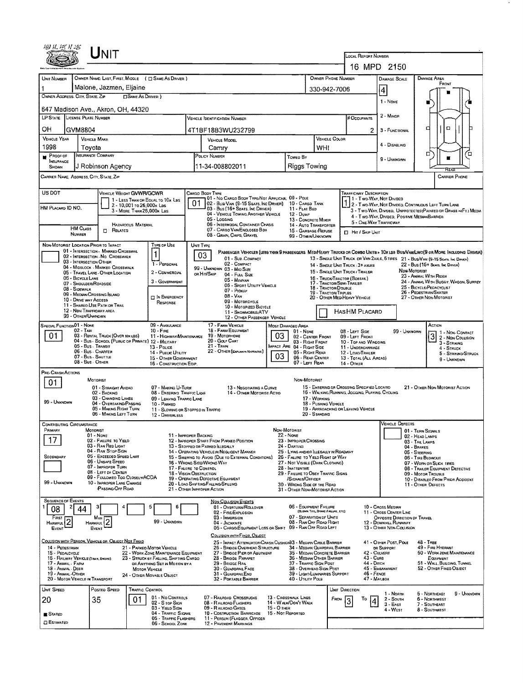| Unit<br>LOCAL REPORT NUMBER<br>16 MPD 2150<br>OWNER NAME: LAST, FIRST, MIDDLE ( C) SAME AS DRIVER )<br>OWNER PHONE NUMBER<br>UNIT NUMBER<br>Damage Area<br><b>DAMAGE SCALE</b><br>FRONT<br>Malone, Jazmen, Eljaine<br>330-942-7006<br> 4<br>OWNER ADDRESS: CITY, STATE, ZIP<br><b>CISAME AS DRIVER</b> )<br>1 - NONE<br>647 Madison Ave., Akron, OH, 44320<br>2 - MINOR<br>LP STATE LICENSE PLATE NUMBER<br>VEHICLE DENTIFICATION NUMBER<br># Occupants<br>d<br>ם<br>OН<br>GVM8804<br>4T1BF18B3WU232799<br>2<br>3 - FUNCTIONAL<br><b>VEHICLE YEAR</b><br>VEHICLE COLOR<br><b>VEHICLE MAKE</b><br><b>VEHICLE MODEL</b><br>4 - DISABLING<br>1998<br>WHI<br>Tovota<br>Camry<br>ם<br>α.<br>INSURANCE COMPANY<br>Proof of<br>POLICY NUMBER<br>Toweo By<br>н<br>9 - UNKNOWN<br><b>NSURANCE</b><br>11-34-008802011<br>Riggs Towing<br>J Robinson Agency<br>SHOWN<br>CARRIER NAME, ADDRESS, CITY, STATE, ZIP<br><b>CARRIER PHONE</b><br>US DOT<br>VEHICLE WEIGHT GVWFVGCWR<br>Cargo Body Type<br>TRAFFICWAY DESCRIPTION<br>01 - No CARGO BODY TYPE/NOT APPLICABL 09 - POLE<br>1 1 - Two Way, Not Divided<br>1 - LESS THAN OR EQUAL TO 10x LBS<br>01<br>02 - Busi Van (9-15 Seats, Inc Driver)<br>10 - CARGD TANK<br>2 - Two-Way, NOT DIVIDED, CONTINUOUS LEFT TURN LANE<br>2 - 10,001 To 26,000x Les<br>HM PLACARD ID NO.<br>03 - Bus (16+ Seats, Inc DRIVER)<br>11 - FLAT BED<br>3 - Two-Way, Divideo, Unprotected (Painted or Grass >4FT.) Media<br>3 - MORE THAN 26,000x LBS<br>04 - VEHICLE TOWING ANOTHER VEHICLE<br>12 - Duwe<br>4 - Two-WAY, DIVIDED, POSITIVE MEDIAN BARRIER<br>05 - LOGGING<br>13 - CONCRETE MIXER<br>5 - ONE-WAY TRAFFICWAY<br>06 - INTERMDDAL CONTAINER CHASIS<br>HAZAROOUS MATERIAL<br>14 - AUTO TRANSPORTER<br><b>HM CLASS</b><br>07 - CARGO VAN/ENCLOSED BDX<br><b>IT RELATED</b><br>15 - GARBAGE / REFUSE<br><b>El Hir / Skip Unit</b><br>NUMBER<br>08 - GRAIN, CHIPS, GRAVEL<br>99 - OTHER/UNKNOWN<br>NON-MOTORIST LOCATION PRIOR TO IMPACT<br>TYPE OF USE<br>UNIT TYPE<br>01 - INTERSECTION - MARKEO CROSSWAL<br>Passenger Vehicles (less than 9 passengers. Med/Heavy Trucks or Combo Units > 10x les Bus/Van/Limo(9 or More Including Driver)<br>1<br>03<br>02 - INTERSECTION - NO CROSSWALK<br>13 - SINGLE UNIT TRUCK OR VAN 2AXLE, 6 TIRES 21 - BUS/VAN (9-15 SEATS, INC DAVER)<br>01 Sub COMPACT<br>03 - INTERSECTION OTHER<br>02 - COMPACT<br>1 - PERSONAL<br>22 - Bus (15+ Sears, Inc Driver)<br>14 - SINGLE UNIT TRUCK: 3+ AXLES<br>04 - MIDBLOCK - MARKED CROSSWALK<br>99 - UNKNOWN 03 - MID SIZE<br>Non-Mororian<br>15 - SINGLE UNIT TRUCK / TRAILER<br>2 - Сомменсил<br>05 - TRAVEL LANE - OTHER LOCATION<br>OR HIT/SKIP<br>04 FULL SIZE<br>23 - ANIMAL WITH RIDER<br>06 - BICYCLE LANE<br>16 - TRUCK/TRACTOR (BOBTAL)<br>05 - MINIVAN<br>3 - GOVERNMENT<br>24 - ANIMAL WITH BUGGY, WAGON, SURREY<br>07 - SHOULDER/ROADSIDE<br>17 - TRACTOR/SEMI-TRAILER<br>06 - SPDRT UTILITY VEHICLE<br>25 - BICYCLE/PEDACYCLIST<br>18 - TRACTOR/DOUBLE<br>08 - SIDEWALK<br>07 - Proxue<br>26 - Pedestrian/Skater<br><b>19 - TRACTOR/TRIPLES</b><br>09 - MEDIAN CROSSING ISLAND<br>$08 - V_{AN}$<br><b>DIN EMERGENCY</b><br>20 - OTHER MEDIMEANY VEHICLE<br>27 - OTHER NON-MOTORIST<br>10 - DRIVE WAY ACCESS<br>09 - MOTORCYCLE<br>RESPONSE<br>11 - Shared Use Path or Trail<br>10 - Motorized Bicycle<br>12 - NON-TRAFFICWAY AREA<br>HASHM PLACARD<br>11 - SNOWMOBRE/ATV<br>99 - OTHER/UNKNOWN<br>12 - OTHER PASSENGER VEHICLE<br>SPECIAL FUNCTION 01 - NONE<br>09 - AMBULANCE<br>17 - FARM VEHICLE<br>ACTION<br><b>MOST DAMAGED AREA</b><br>$02 - TAX$<br>18 - FARM EQUIPMENT<br>$10 -$ Figs.<br>08 - LEFT SIDE<br>99 - UNKNOWN<br>01 - NONE<br>1 - NON- CONTACT<br>3 2 - Non-Contact<br>2 - Non-Collision<br>03<br>01<br>03 - RENTAL TRUCK (OVER 10K LBS)<br>19 - MOTORHOME<br>11 - HIGHWAY/MAINTENANCE<br>02 - CENTER FRONT<br>09 - LEFT FRONT<br>20 - GOLF CART<br>04 - Bus - School (Public or Private) 12 - Military<br>03 - RIGHT FRONT<br>10 - TOP AND WINDOWS<br>$3 -$ STRIKING<br>$21 -$ Train<br>05 - Bus - Transit<br><b>IMPACT ARE 04 - RIGHT SIDE</b><br>13 - PoLice<br>11 - UNDERCARRIAGE<br>4 - STRUCK<br>06 - Bus - Charter<br>22 - OTHER (EXPLANIN NAPRAITNE)<br>05 - RIGHT REAR<br>14 - Pusuc UTILITY<br>12 LOAD/TRAILER<br>5 - STRIKNG/STRUCK<br>03<br>07 - Bus - SHUTTLE<br>06 - REAR CENTER<br>15 - OTHER GOVERNMENT<br>13 - TOTAL (ALL AREAS)<br>9 - UNKNOWN<br>08 - Bus - OTHER<br>07 - LEFT REAR<br>16 - CONSTRUCTION EOIP.<br>14 - Отнен<br>PRE-CRASH ACTIONS<br>MOTORIST<br>Non-Motorist<br>01<br>15 - ENTERING OR CROSSING SPECIFIED LOCATIO<br>21 - OTHER NON-MOTORIST ACTION<br>01 - STRAIGHT AHEAD<br>07 - MAKING U-TURN<br>13 - NEGOTIATING A CURVE<br>16 - WALKING, RUMNING, JOGGING, PLAYING, CYCLING<br>14 - OTHER MOTORIST ACTIO<br>08 - ENTERING TRAFFIC LANE<br>02 BACKING<br>03 - CHANGING LANES<br>09 - LEAVING TRAFFIC LANE<br>17 - WORKING<br>99 - UNKNOWN<br>04 - OVERTAKING/PASSING<br>18 - PUSHING VEHICLE<br>10 - PARKED<br>05 - MAKING RIGHT TURN<br>19 - APPROACHING OR LEAVING VEHICLE<br>11 - SLOWING OR STOPPED IN TRAFFIC<br>06 - MAKING LEFT TURN<br>20 - STANDING<br>12 - DRIVERLESS<br><b>VEHICLE DEFECTS</b><br><b>CONTRIBUTING CIRCUMSTANCE</b><br>NON-MOTORIST<br>PRIMARY<br><b>MOTORIST</b><br>01 - TURN SIGNALS<br>22 - NONE<br>$01 - None$<br>11 - IMPROPER BACKING<br>02 - HEAD LAMPS<br>17<br>02 - FAILURE TO YIELD<br>23 - IMPROPER CROSSING<br>12 - IMPROPER START FROM PARKED POSITION<br>03 - TAIL LAMPS<br>03 - RAN RED LIGHT<br>13 - Stopped or Parked Illegally<br>24 - DARTING<br>04 - BRAKES<br>04 - RAN STOP SIGN<br>14 - OPERATING VEHICLE IN NEGLIGENT MANNER<br>25 - LYING AND/OR LLEGALLY IN ROADWAY<br>05 - STEERING<br>05 - Exceeded Speed Limit<br>SECONDARY<br>15 - Swering to Avoid (Due to External Conditions)<br>26 - FALURE TO YIELD RIGHT OF WAY<br>06 - TIRE BLOWOUT<br>06 - UNSAPE SPEED<br>16 - Wrong Side/Wrong Way<br>27 - NOT VISIBLE (DARK CLOTHING)<br>07 - WORN OR SLICK TIRES<br>07 - IMPROPER TURN<br>17 - FALURE TO CONTROL<br>28 INATTENTME<br>08 - TRAILER EQUIPMENT DEFECTIVE<br>08 - LEFT OF CENTER<br>18 - VISION OBSTRUCTION<br>29 - FAILURE TO OBEY TRAFFIC SIGNS<br>09 - MOTOR TROUBLE<br>09 - FOLLOWED TOO CLOSELY/ACDA<br>19 - OPERATING DEFECTIVE EQUIPMENT<br>/SIGNALS/OFFICER<br>10 - DISABLED FROM PRIOR ACCIDENT<br>99 - UNKNOWN<br>10 - IMPROPER LANE CHANGE<br>20 - LOAD SHIFTING/FALLING/SPILLING<br>30 - WRONG SIDE OF THE ROAD<br>11 - OTHER DEFECTS<br>PASSING/OFF ROAD<br>21 - OTHER IMPROPER ACTION<br>31 - OTHER NON-MOTORIST ACTION<br><b>SEQUENCE OF EVENTS</b><br>NON COLUSION EVENTS<br>06 - EQUIPMENT FAILURE<br>10 - Cross Median<br>01 - OVERTURN/ROLLOVER<br>з<br>5<br>44<br>08<br>(BLOWN TIRE, BRAKE FAILURE, ETC)<br>02 - FIRE/EXPLOSION<br>11 - Cross Center Line<br>07 - SEPARATION OF UNITS<br>OPPOSITE DIRECTION OF TRAVEL<br>FIRST<br>03 - IMMERSION<br>Most<br>$\overline{\mathbf{c}}$<br>HARMFUL <sup>2</sup><br>99 - UNKNOWN<br>08 - RAN OFF ROAD RIGHT<br>04 - JACKKNIFE<br>12 - DOWNHEL RUNAWAY<br><b>HARMFUL</b><br>05 - CARGO/EQUIPMENT LOSS OR SHIFT 09 - RAN OFF ROAD LEFT<br>13 - OTHER NON-COLLISION<br>EVENT<br>EVENT<br>COLLISION WITH FIXED, OBJECT<br>COLLISION WITH PERSON, VEHICLE OR OBJECT NOT FIXED<br>25 - IMPACT ATTENUATORICRASH CUSHIDI83 - MEDIAN CABLE BARRIER<br>41 - OTHER POST, POLE<br>48 - TREE<br>21 - PARKEO MOTOR VEHICLE<br>25 - BRIDGE OVERHEAD STRUCTURE<br>34 - MEDWN GUARDRAIL BARRIER<br>49 - FIRE HYDRANT<br>14 - PEDESTRIAN<br>OR SUPPORT<br>27 - BRIDGE PIER OR ABUTMENT<br>42 - Culvert<br>50 - WORK ZONE MAINTENANCE<br>15 - PEDALCYCLE<br>22 - WORK ZONE MAINTENANCE EQUIPMENT<br>35 - MEDIAN CONCRETE BARRIER<br>43 - Cuna<br>16 - RAILWAY VEHICLE (TRAH, EMOINE)<br>23 - STRUCK BY FALLING, SHIFTING CARGO<br>28 - BRIDGE PARAPET<br>36 - Median Other Barrier<br>Equipment<br>44 - Опсн<br>29 - BRIDGE RAIL<br>37 - TRAFFIC SIGN POST<br>51 - WALL, BULDING, TUNNEL<br>17 - Animal - Farm<br>OR ANYTHING SET IN MOTION BY A<br>45 - EMBANKMENT<br>52 - Отнев Гіхер Овлест<br>18 - Animal Deer<br>30 - GUARDRAIL FACE<br>38 - Overhead Sign Post<br><b>MOTOR VEHICLE</b><br>39 - Light/Luminaries Support<br>46 - FENCE<br>19 - Anmal Other<br>31 - GUARDRAILEND<br>24 - OTHER MOVABLE OBJECT<br>20 - MOTOR VEHICLE IN TRANSPORT<br>40 - UTILITY POLE<br>47 - MALBOX<br>32 - PORTABLE BARRIER<br>POSTEO SPEED<br>UNIT SPEED<br>TRAFFIC CONTROL<br>Unit Direction<br>9 - Unknown<br>1 - North<br>5 - NORTHEAST<br>01 - No CONTROLS<br>07 - RAILROAD CROSSBUCKS<br>13 - CROSSWALK LINES<br>FROM<br>6 - NORTHWEST<br>20<br>35<br>То<br>$2 -$ South<br>01<br>4<br>02 - S TOP SIGN<br>08 - RAILROAD FLASHERS<br><b>14 - WALK/DON'T WALK</b><br>$3 - E$ AST<br>7 - SOUTHEAST<br>03 - YIELD SIGN<br>09 - RAILROAD GATES<br>15 - О тнев<br>4 - WEST<br>8 - SDUTHWEST<br>04 - TRAFFIC SIGNAL<br>10 - COSTRUCTION BARRICADE<br>16 - Not REPORTED<br>STATED<br>05 - TRAFFIC FLASHERS<br>11 - PERSON (FLAGGER, OFFICER<br><b>ESTIMATED</b><br>06 - SCHOOL ZONE<br>12 - PAVEMENT MARKINGS |  |  |  |  |  |  |  |  |  |  |  |  |  |  |  |  |  |  |  |  |
|-----------------------------------------------------------------------------------------------------------------------------------------------------------------------------------------------------------------------------------------------------------------------------------------------------------------------------------------------------------------------------------------------------------------------------------------------------------------------------------------------------------------------------------------------------------------------------------------------------------------------------------------------------------------------------------------------------------------------------------------------------------------------------------------------------------------------------------------------------------------------------------------------------------------------------------------------------------------------------------------------------------------------------------------------------------------------------------------------------------------------------------------------------------------------------------------------------------------------------------------------------------------------------------------------------------------------------------------------------------------------------------------------------------------------------------------------------------------------------------------------------------------------------------------------------------------------------------------------------------------------------------------------------------------------------------------------------------------------------------------------------------------------------------------------------------------------------------------------------------------------------------------------------------------------------------------------------------------------------------------------------------------------------------------------------------------------------------------------------------------------------------------------------------------------------------------------------------------------------------------------------------------------------------------------------------------------------------------------------------------------------------------------------------------------------------------------------------------------------------------------------------------------------------------------------------------------------------------------------------------------------------------------------------------------------------------------------------------------------------------------------------------------------------------------------------------------------------------------------------------------------------------------------------------------------------------------------------------------------------------------------------------------------------------------------------------------------------------------------------------------------------------------------------------------------------------------------------------------------------------------------------------------------------------------------------------------------------------------------------------------------------------------------------------------------------------------------------------------------------------------------------------------------------------------------------------------------------------------------------------------------------------------------------------------------------------------------------------------------------------------------------------------------------------------------------------------------------------------------------------------------------------------------------------------------------------------------------------------------------------------------------------------------------------------------------------------------------------------------------------------------------------------------------------------------------------------------------------------------------------------------------------------------------------------------------------------------------------------------------------------------------------------------------------------------------------------------------------------------------------------------------------------------------------------------------------------------------------------------------------------------------------------------------------------------------------------------------------------------------------------------------------------------------------------------------------------------------------------------------------------------------------------------------------------------------------------------------------------------------------------------------------------------------------------------------------------------------------------------------------------------------------------------------------------------------------------------------------------------------------------------------------------------------------------------------------------------------------------------------------------------------------------------------------------------------------------------------------------------------------------------------------------------------------------------------------------------------------------------------------------------------------------------------------------------------------------------------------------------------------------------------------------------------------------------------------------------------------------------------------------------------------------------------------------------------------------------------------------------------------------------------------------------------------------------------------------------------------------------------------------------------------------------------------------------------------------------------------------------------------------------------------------------------------------------------------------------------------------------------------------------------------------------------------------------------------------------------------------------------------------------------------------------------------------------------------------------------------------------------------------------------------------------------------------------------------------------------------------------------------------------------------------------------------------------------------------------------------------------------------------------------------------------------------------------------------------------------------------------------------------------------------------------------------------------------------------------------------------------------------------------------------------------------------------------------------------------------------------------------------------------------------------------------------------------------------------------------------------------------------------------------------------------------------------------------------------------------------------------------------------------------------------------------------------------------------------------------------------------------------------------------------------------------------------------------------------------------------------------------------------------------------------------------------------------------------------------------------------------------------------------------------------------------------------------------------------------------------------------------------------------------------------------------------------------------------------------------------------------------------------------------------------------------------------------------------------------------------------------------------------------------------------------------------------------------------------------------------------------------------------------------------------------------------------------------------------------------------------------------------------------------------------------------------------------------------------------------------------------------------------------------------------------------------------------------------------------------------------------------------------------------------------------------------------------------------------------------------------------------------------------------------------------------------------------------------------------------------------------------------------------------------------------------------------------------------------------------------------|--|--|--|--|--|--|--|--|--|--|--|--|--|--|--|--|--|--|--|--|
|                                                                                                                                                                                                                                                                                                                                                                                                                                                                                                                                                                                                                                                                                                                                                                                                                                                                                                                                                                                                                                                                                                                                                                                                                                                                                                                                                                                                                                                                                                                                                                                                                                                                                                                                                                                                                                                                                                                                                                                                                                                                                                                                                                                                                                                                                                                                                                                                                                                                                                                                                                                                                                                                                                                                                                                                                                                                                                                                                                                                                                                                                                                                                                                                                                                                                                                                                                                                                                                                                                                                                                                                                                                                                                                                                                                                                                                                                                                                                                                                                                                                                                                                                                                                                                                                                                                                                                                                                                                                                                                                                                                                                                                                                                                                                                                                                                                                                                                                                                                                                                                                                                                                                                                                                                                                                                                                                                                                                                                                                                                                                                                                                                                                                                                                                                                                                                                                                                                                                                                                                                                                                                                                                                                                                                                                                                                                                                                                                                                                                                                                                                                                                                                                                                                                                                                                                                                                                                                                                                                                                                                                                                                                                                                                                                                                                                                                                                                                                                                                                                                                                                                                                                                                                                                                                                                                                                                                                                                                                                                                                                                                                                                                                                                                                                                                                                                                                                                                                                                                                                                                                                                                                                                                                                                                                                                                                                                                                                                                                                                                                                                                                               |  |  |  |  |  |  |  |  |  |  |  |  |  |  |  |  |  |  |  |  |
|                                                                                                                                                                                                                                                                                                                                                                                                                                                                                                                                                                                                                                                                                                                                                                                                                                                                                                                                                                                                                                                                                                                                                                                                                                                                                                                                                                                                                                                                                                                                                                                                                                                                                                                                                                                                                                                                                                                                                                                                                                                                                                                                                                                                                                                                                                                                                                                                                                                                                                                                                                                                                                                                                                                                                                                                                                                                                                                                                                                                                                                                                                                                                                                                                                                                                                                                                                                                                                                                                                                                                                                                                                                                                                                                                                                                                                                                                                                                                                                                                                                                                                                                                                                                                                                                                                                                                                                                                                                                                                                                                                                                                                                                                                                                                                                                                                                                                                                                                                                                                                                                                                                                                                                                                                                                                                                                                                                                                                                                                                                                                                                                                                                                                                                                                                                                                                                                                                                                                                                                                                                                                                                                                                                                                                                                                                                                                                                                                                                                                                                                                                                                                                                                                                                                                                                                                                                                                                                                                                                                                                                                                                                                                                                                                                                                                                                                                                                                                                                                                                                                                                                                                                                                                                                                                                                                                                                                                                                                                                                                                                                                                                                                                                                                                                                                                                                                                                                                                                                                                                                                                                                                                                                                                                                                                                                                                                                                                                                                                                                                                                                                                               |  |  |  |  |  |  |  |  |  |  |  |  |  |  |  |  |  |  |  |  |
|                                                                                                                                                                                                                                                                                                                                                                                                                                                                                                                                                                                                                                                                                                                                                                                                                                                                                                                                                                                                                                                                                                                                                                                                                                                                                                                                                                                                                                                                                                                                                                                                                                                                                                                                                                                                                                                                                                                                                                                                                                                                                                                                                                                                                                                                                                                                                                                                                                                                                                                                                                                                                                                                                                                                                                                                                                                                                                                                                                                                                                                                                                                                                                                                                                                                                                                                                                                                                                                                                                                                                                                                                                                                                                                                                                                                                                                                                                                                                                                                                                                                                                                                                                                                                                                                                                                                                                                                                                                                                                                                                                                                                                                                                                                                                                                                                                                                                                                                                                                                                                                                                                                                                                                                                                                                                                                                                                                                                                                                                                                                                                                                                                                                                                                                                                                                                                                                                                                                                                                                                                                                                                                                                                                                                                                                                                                                                                                                                                                                                                                                                                                                                                                                                                                                                                                                                                                                                                                                                                                                                                                                                                                                                                                                                                                                                                                                                                                                                                                                                                                                                                                                                                                                                                                                                                                                                                                                                                                                                                                                                                                                                                                                                                                                                                                                                                                                                                                                                                                                                                                                                                                                                                                                                                                                                                                                                                                                                                                                                                                                                                                                                               |  |  |  |  |  |  |  |  |  |  |  |  |  |  |  |  |  |  |  |  |
|                                                                                                                                                                                                                                                                                                                                                                                                                                                                                                                                                                                                                                                                                                                                                                                                                                                                                                                                                                                                                                                                                                                                                                                                                                                                                                                                                                                                                                                                                                                                                                                                                                                                                                                                                                                                                                                                                                                                                                                                                                                                                                                                                                                                                                                                                                                                                                                                                                                                                                                                                                                                                                                                                                                                                                                                                                                                                                                                                                                                                                                                                                                                                                                                                                                                                                                                                                                                                                                                                                                                                                                                                                                                                                                                                                                                                                                                                                                                                                                                                                                                                                                                                                                                                                                                                                                                                                                                                                                                                                                                                                                                                                                                                                                                                                                                                                                                                                                                                                                                                                                                                                                                                                                                                                                                                                                                                                                                                                                                                                                                                                                                                                                                                                                                                                                                                                                                                                                                                                                                                                                                                                                                                                                                                                                                                                                                                                                                                                                                                                                                                                                                                                                                                                                                                                                                                                                                                                                                                                                                                                                                                                                                                                                                                                                                                                                                                                                                                                                                                                                                                                                                                                                                                                                                                                                                                                                                                                                                                                                                                                                                                                                                                                                                                                                                                                                                                                                                                                                                                                                                                                                                                                                                                                                                                                                                                                                                                                                                                                                                                                                                                               |  |  |  |  |  |  |  |  |  |  |  |  |  |  |  |  |  |  |  |  |
|                                                                                                                                                                                                                                                                                                                                                                                                                                                                                                                                                                                                                                                                                                                                                                                                                                                                                                                                                                                                                                                                                                                                                                                                                                                                                                                                                                                                                                                                                                                                                                                                                                                                                                                                                                                                                                                                                                                                                                                                                                                                                                                                                                                                                                                                                                                                                                                                                                                                                                                                                                                                                                                                                                                                                                                                                                                                                                                                                                                                                                                                                                                                                                                                                                                                                                                                                                                                                                                                                                                                                                                                                                                                                                                                                                                                                                                                                                                                                                                                                                                                                                                                                                                                                                                                                                                                                                                                                                                                                                                                                                                                                                                                                                                                                                                                                                                                                                                                                                                                                                                                                                                                                                                                                                                                                                                                                                                                                                                                                                                                                                                                                                                                                                                                                                                                                                                                                                                                                                                                                                                                                                                                                                                                                                                                                                                                                                                                                                                                                                                                                                                                                                                                                                                                                                                                                                                                                                                                                                                                                                                                                                                                                                                                                                                                                                                                                                                                                                                                                                                                                                                                                                                                                                                                                                                                                                                                                                                                                                                                                                                                                                                                                                                                                                                                                                                                                                                                                                                                                                                                                                                                                                                                                                                                                                                                                                                                                                                                                                                                                                                                                               |  |  |  |  |  |  |  |  |  |  |  |  |  |  |  |  |  |  |  |  |
|                                                                                                                                                                                                                                                                                                                                                                                                                                                                                                                                                                                                                                                                                                                                                                                                                                                                                                                                                                                                                                                                                                                                                                                                                                                                                                                                                                                                                                                                                                                                                                                                                                                                                                                                                                                                                                                                                                                                                                                                                                                                                                                                                                                                                                                                                                                                                                                                                                                                                                                                                                                                                                                                                                                                                                                                                                                                                                                                                                                                                                                                                                                                                                                                                                                                                                                                                                                                                                                                                                                                                                                                                                                                                                                                                                                                                                                                                                                                                                                                                                                                                                                                                                                                                                                                                                                                                                                                                                                                                                                                                                                                                                                                                                                                                                                                                                                                                                                                                                                                                                                                                                                                                                                                                                                                                                                                                                                                                                                                                                                                                                                                                                                                                                                                                                                                                                                                                                                                                                                                                                                                                                                                                                                                                                                                                                                                                                                                                                                                                                                                                                                                                                                                                                                                                                                                                                                                                                                                                                                                                                                                                                                                                                                                                                                                                                                                                                                                                                                                                                                                                                                                                                                                                                                                                                                                                                                                                                                                                                                                                                                                                                                                                                                                                                                                                                                                                                                                                                                                                                                                                                                                                                                                                                                                                                                                                                                                                                                                                                                                                                                                                               |  |  |  |  |  |  |  |  |  |  |  |  |  |  |  |  |  |  |  |  |
|                                                                                                                                                                                                                                                                                                                                                                                                                                                                                                                                                                                                                                                                                                                                                                                                                                                                                                                                                                                                                                                                                                                                                                                                                                                                                                                                                                                                                                                                                                                                                                                                                                                                                                                                                                                                                                                                                                                                                                                                                                                                                                                                                                                                                                                                                                                                                                                                                                                                                                                                                                                                                                                                                                                                                                                                                                                                                                                                                                                                                                                                                                                                                                                                                                                                                                                                                                                                                                                                                                                                                                                                                                                                                                                                                                                                                                                                                                                                                                                                                                                                                                                                                                                                                                                                                                                                                                                                                                                                                                                                                                                                                                                                                                                                                                                                                                                                                                                                                                                                                                                                                                                                                                                                                                                                                                                                                                                                                                                                                                                                                                                                                                                                                                                                                                                                                                                                                                                                                                                                                                                                                                                                                                                                                                                                                                                                                                                                                                                                                                                                                                                                                                                                                                                                                                                                                                                                                                                                                                                                                                                                                                                                                                                                                                                                                                                                                                                                                                                                                                                                                                                                                                                                                                                                                                                                                                                                                                                                                                                                                                                                                                                                                                                                                                                                                                                                                                                                                                                                                                                                                                                                                                                                                                                                                                                                                                                                                                                                                                                                                                                                                               |  |  |  |  |  |  |  |  |  |  |  |  |  |  |  |  |  |  |  |  |
|                                                                                                                                                                                                                                                                                                                                                                                                                                                                                                                                                                                                                                                                                                                                                                                                                                                                                                                                                                                                                                                                                                                                                                                                                                                                                                                                                                                                                                                                                                                                                                                                                                                                                                                                                                                                                                                                                                                                                                                                                                                                                                                                                                                                                                                                                                                                                                                                                                                                                                                                                                                                                                                                                                                                                                                                                                                                                                                                                                                                                                                                                                                                                                                                                                                                                                                                                                                                                                                                                                                                                                                                                                                                                                                                                                                                                                                                                                                                                                                                                                                                                                                                                                                                                                                                                                                                                                                                                                                                                                                                                                                                                                                                                                                                                                                                                                                                                                                                                                                                                                                                                                                                                                                                                                                                                                                                                                                                                                                                                                                                                                                                                                                                                                                                                                                                                                                                                                                                                                                                                                                                                                                                                                                                                                                                                                                                                                                                                                                                                                                                                                                                                                                                                                                                                                                                                                                                                                                                                                                                                                                                                                                                                                                                                                                                                                                                                                                                                                                                                                                                                                                                                                                                                                                                                                                                                                                                                                                                                                                                                                                                                                                                                                                                                                                                                                                                                                                                                                                                                                                                                                                                                                                                                                                                                                                                                                                                                                                                                                                                                                                                                               |  |  |  |  |  |  |  |  |  |  |  |  |  |  |  |  |  |  |  |  |
|                                                                                                                                                                                                                                                                                                                                                                                                                                                                                                                                                                                                                                                                                                                                                                                                                                                                                                                                                                                                                                                                                                                                                                                                                                                                                                                                                                                                                                                                                                                                                                                                                                                                                                                                                                                                                                                                                                                                                                                                                                                                                                                                                                                                                                                                                                                                                                                                                                                                                                                                                                                                                                                                                                                                                                                                                                                                                                                                                                                                                                                                                                                                                                                                                                                                                                                                                                                                                                                                                                                                                                                                                                                                                                                                                                                                                                                                                                                                                                                                                                                                                                                                                                                                                                                                                                                                                                                                                                                                                                                                                                                                                                                                                                                                                                                                                                                                                                                                                                                                                                                                                                                                                                                                                                                                                                                                                                                                                                                                                                                                                                                                                                                                                                                                                                                                                                                                                                                                                                                                                                                                                                                                                                                                                                                                                                                                                                                                                                                                                                                                                                                                                                                                                                                                                                                                                                                                                                                                                                                                                                                                                                                                                                                                                                                                                                                                                                                                                                                                                                                                                                                                                                                                                                                                                                                                                                                                                                                                                                                                                                                                                                                                                                                                                                                                                                                                                                                                                                                                                                                                                                                                                                                                                                                                                                                                                                                                                                                                                                                                                                                                                               |  |  |  |  |  |  |  |  |  |  |  |  |  |  |  |  |  |  |  |  |
|                                                                                                                                                                                                                                                                                                                                                                                                                                                                                                                                                                                                                                                                                                                                                                                                                                                                                                                                                                                                                                                                                                                                                                                                                                                                                                                                                                                                                                                                                                                                                                                                                                                                                                                                                                                                                                                                                                                                                                                                                                                                                                                                                                                                                                                                                                                                                                                                                                                                                                                                                                                                                                                                                                                                                                                                                                                                                                                                                                                                                                                                                                                                                                                                                                                                                                                                                                                                                                                                                                                                                                                                                                                                                                                                                                                                                                                                                                                                                                                                                                                                                                                                                                                                                                                                                                                                                                                                                                                                                                                                                                                                                                                                                                                                                                                                                                                                                                                                                                                                                                                                                                                                                                                                                                                                                                                                                                                                                                                                                                                                                                                                                                                                                                                                                                                                                                                                                                                                                                                                                                                                                                                                                                                                                                                                                                                                                                                                                                                                                                                                                                                                                                                                                                                                                                                                                                                                                                                                                                                                                                                                                                                                                                                                                                                                                                                                                                                                                                                                                                                                                                                                                                                                                                                                                                                                                                                                                                                                                                                                                                                                                                                                                                                                                                                                                                                                                                                                                                                                                                                                                                                                                                                                                                                                                                                                                                                                                                                                                                                                                                                                                               |  |  |  |  |  |  |  |  |  |  |  |  |  |  |  |  |  |  |  |  |
|                                                                                                                                                                                                                                                                                                                                                                                                                                                                                                                                                                                                                                                                                                                                                                                                                                                                                                                                                                                                                                                                                                                                                                                                                                                                                                                                                                                                                                                                                                                                                                                                                                                                                                                                                                                                                                                                                                                                                                                                                                                                                                                                                                                                                                                                                                                                                                                                                                                                                                                                                                                                                                                                                                                                                                                                                                                                                                                                                                                                                                                                                                                                                                                                                                                                                                                                                                                                                                                                                                                                                                                                                                                                                                                                                                                                                                                                                                                                                                                                                                                                                                                                                                                                                                                                                                                                                                                                                                                                                                                                                                                                                                                                                                                                                                                                                                                                                                                                                                                                                                                                                                                                                                                                                                                                                                                                                                                                                                                                                                                                                                                                                                                                                                                                                                                                                                                                                                                                                                                                                                                                                                                                                                                                                                                                                                                                                                                                                                                                                                                                                                                                                                                                                                                                                                                                                                                                                                                                                                                                                                                                                                                                                                                                                                                                                                                                                                                                                                                                                                                                                                                                                                                                                                                                                                                                                                                                                                                                                                                                                                                                                                                                                                                                                                                                                                                                                                                                                                                                                                                                                                                                                                                                                                                                                                                                                                                                                                                                                                                                                                                                                               |  |  |  |  |  |  |  |  |  |  |  |  |  |  |  |  |  |  |  |  |
|                                                                                                                                                                                                                                                                                                                                                                                                                                                                                                                                                                                                                                                                                                                                                                                                                                                                                                                                                                                                                                                                                                                                                                                                                                                                                                                                                                                                                                                                                                                                                                                                                                                                                                                                                                                                                                                                                                                                                                                                                                                                                                                                                                                                                                                                                                                                                                                                                                                                                                                                                                                                                                                                                                                                                                                                                                                                                                                                                                                                                                                                                                                                                                                                                                                                                                                                                                                                                                                                                                                                                                                                                                                                                                                                                                                                                                                                                                                                                                                                                                                                                                                                                                                                                                                                                                                                                                                                                                                                                                                                                                                                                                                                                                                                                                                                                                                                                                                                                                                                                                                                                                                                                                                                                                                                                                                                                                                                                                                                                                                                                                                                                                                                                                                                                                                                                                                                                                                                                                                                                                                                                                                                                                                                                                                                                                                                                                                                                                                                                                                                                                                                                                                                                                                                                                                                                                                                                                                                                                                                                                                                                                                                                                                                                                                                                                                                                                                                                                                                                                                                                                                                                                                                                                                                                                                                                                                                                                                                                                                                                                                                                                                                                                                                                                                                                                                                                                                                                                                                                                                                                                                                                                                                                                                                                                                                                                                                                                                                                                                                                                                                                               |  |  |  |  |  |  |  |  |  |  |  |  |  |  |  |  |  |  |  |  |
|                                                                                                                                                                                                                                                                                                                                                                                                                                                                                                                                                                                                                                                                                                                                                                                                                                                                                                                                                                                                                                                                                                                                                                                                                                                                                                                                                                                                                                                                                                                                                                                                                                                                                                                                                                                                                                                                                                                                                                                                                                                                                                                                                                                                                                                                                                                                                                                                                                                                                                                                                                                                                                                                                                                                                                                                                                                                                                                                                                                                                                                                                                                                                                                                                                                                                                                                                                                                                                                                                                                                                                                                                                                                                                                                                                                                                                                                                                                                                                                                                                                                                                                                                                                                                                                                                                                                                                                                                                                                                                                                                                                                                                                                                                                                                                                                                                                                                                                                                                                                                                                                                                                                                                                                                                                                                                                                                                                                                                                                                                                                                                                                                                                                                                                                                                                                                                                                                                                                                                                                                                                                                                                                                                                                                                                                                                                                                                                                                                                                                                                                                                                                                                                                                                                                                                                                                                                                                                                                                                                                                                                                                                                                                                                                                                                                                                                                                                                                                                                                                                                                                                                                                                                                                                                                                                                                                                                                                                                                                                                                                                                                                                                                                                                                                                                                                                                                                                                                                                                                                                                                                                                                                                                                                                                                                                                                                                                                                                                                                                                                                                                                                               |  |  |  |  |  |  |  |  |  |  |  |  |  |  |  |  |  |  |  |  |
|                                                                                                                                                                                                                                                                                                                                                                                                                                                                                                                                                                                                                                                                                                                                                                                                                                                                                                                                                                                                                                                                                                                                                                                                                                                                                                                                                                                                                                                                                                                                                                                                                                                                                                                                                                                                                                                                                                                                                                                                                                                                                                                                                                                                                                                                                                                                                                                                                                                                                                                                                                                                                                                                                                                                                                                                                                                                                                                                                                                                                                                                                                                                                                                                                                                                                                                                                                                                                                                                                                                                                                                                                                                                                                                                                                                                                                                                                                                                                                                                                                                                                                                                                                                                                                                                                                                                                                                                                                                                                                                                                                                                                                                                                                                                                                                                                                                                                                                                                                                                                                                                                                                                                                                                                                                                                                                                                                                                                                                                                                                                                                                                                                                                                                                                                                                                                                                                                                                                                                                                                                                                                                                                                                                                                                                                                                                                                                                                                                                                                                                                                                                                                                                                                                                                                                                                                                                                                                                                                                                                                                                                                                                                                                                                                                                                                                                                                                                                                                                                                                                                                                                                                                                                                                                                                                                                                                                                                                                                                                                                                                                                                                                                                                                                                                                                                                                                                                                                                                                                                                                                                                                                                                                                                                                                                                                                                                                                                                                                                                                                                                                                                               |  |  |  |  |  |  |  |  |  |  |  |  |  |  |  |  |  |  |  |  |
|                                                                                                                                                                                                                                                                                                                                                                                                                                                                                                                                                                                                                                                                                                                                                                                                                                                                                                                                                                                                                                                                                                                                                                                                                                                                                                                                                                                                                                                                                                                                                                                                                                                                                                                                                                                                                                                                                                                                                                                                                                                                                                                                                                                                                                                                                                                                                                                                                                                                                                                                                                                                                                                                                                                                                                                                                                                                                                                                                                                                                                                                                                                                                                                                                                                                                                                                                                                                                                                                                                                                                                                                                                                                                                                                                                                                                                                                                                                                                                                                                                                                                                                                                                                                                                                                                                                                                                                                                                                                                                                                                                                                                                                                                                                                                                                                                                                                                                                                                                                                                                                                                                                                                                                                                                                                                                                                                                                                                                                                                                                                                                                                                                                                                                                                                                                                                                                                                                                                                                                                                                                                                                                                                                                                                                                                                                                                                                                                                                                                                                                                                                                                                                                                                                                                                                                                                                                                                                                                                                                                                                                                                                                                                                                                                                                                                                                                                                                                                                                                                                                                                                                                                                                                                                                                                                                                                                                                                                                                                                                                                                                                                                                                                                                                                                                                                                                                                                                                                                                                                                                                                                                                                                                                                                                                                                                                                                                                                                                                                                                                                                                                                               |  |  |  |  |  |  |  |  |  |  |  |  |  |  |  |  |  |  |  |  |
|                                                                                                                                                                                                                                                                                                                                                                                                                                                                                                                                                                                                                                                                                                                                                                                                                                                                                                                                                                                                                                                                                                                                                                                                                                                                                                                                                                                                                                                                                                                                                                                                                                                                                                                                                                                                                                                                                                                                                                                                                                                                                                                                                                                                                                                                                                                                                                                                                                                                                                                                                                                                                                                                                                                                                                                                                                                                                                                                                                                                                                                                                                                                                                                                                                                                                                                                                                                                                                                                                                                                                                                                                                                                                                                                                                                                                                                                                                                                                                                                                                                                                                                                                                                                                                                                                                                                                                                                                                                                                                                                                                                                                                                                                                                                                                                                                                                                                                                                                                                                                                                                                                                                                                                                                                                                                                                                                                                                                                                                                                                                                                                                                                                                                                                                                                                                                                                                                                                                                                                                                                                                                                                                                                                                                                                                                                                                                                                                                                                                                                                                                                                                                                                                                                                                                                                                                                                                                                                                                                                                                                                                                                                                                                                                                                                                                                                                                                                                                                                                                                                                                                                                                                                                                                                                                                                                                                                                                                                                                                                                                                                                                                                                                                                                                                                                                                                                                                                                                                                                                                                                                                                                                                                                                                                                                                                                                                                                                                                                                                                                                                                                                               |  |  |  |  |  |  |  |  |  |  |  |  |  |  |  |  |  |  |  |  |
|                                                                                                                                                                                                                                                                                                                                                                                                                                                                                                                                                                                                                                                                                                                                                                                                                                                                                                                                                                                                                                                                                                                                                                                                                                                                                                                                                                                                                                                                                                                                                                                                                                                                                                                                                                                                                                                                                                                                                                                                                                                                                                                                                                                                                                                                                                                                                                                                                                                                                                                                                                                                                                                                                                                                                                                                                                                                                                                                                                                                                                                                                                                                                                                                                                                                                                                                                                                                                                                                                                                                                                                                                                                                                                                                                                                                                                                                                                                                                                                                                                                                                                                                                                                                                                                                                                                                                                                                                                                                                                                                                                                                                                                                                                                                                                                                                                                                                                                                                                                                                                                                                                                                                                                                                                                                                                                                                                                                                                                                                                                                                                                                                                                                                                                                                                                                                                                                                                                                                                                                                                                                                                                                                                                                                                                                                                                                                                                                                                                                                                                                                                                                                                                                                                                                                                                                                                                                                                                                                                                                                                                                                                                                                                                                                                                                                                                                                                                                                                                                                                                                                                                                                                                                                                                                                                                                                                                                                                                                                                                                                                                                                                                                                                                                                                                                                                                                                                                                                                                                                                                                                                                                                                                                                                                                                                                                                                                                                                                                                                                                                                                                                               |  |  |  |  |  |  |  |  |  |  |  |  |  |  |  |  |  |  |  |  |
|                                                                                                                                                                                                                                                                                                                                                                                                                                                                                                                                                                                                                                                                                                                                                                                                                                                                                                                                                                                                                                                                                                                                                                                                                                                                                                                                                                                                                                                                                                                                                                                                                                                                                                                                                                                                                                                                                                                                                                                                                                                                                                                                                                                                                                                                                                                                                                                                                                                                                                                                                                                                                                                                                                                                                                                                                                                                                                                                                                                                                                                                                                                                                                                                                                                                                                                                                                                                                                                                                                                                                                                                                                                                                                                                                                                                                                                                                                                                                                                                                                                                                                                                                                                                                                                                                                                                                                                                                                                                                                                                                                                                                                                                                                                                                                                                                                                                                                                                                                                                                                                                                                                                                                                                                                                                                                                                                                                                                                                                                                                                                                                                                                                                                                                                                                                                                                                                                                                                                                                                                                                                                                                                                                                                                                                                                                                                                                                                                                                                                                                                                                                                                                                                                                                                                                                                                                                                                                                                                                                                                                                                                                                                                                                                                                                                                                                                                                                                                                                                                                                                                                                                                                                                                                                                                                                                                                                                                                                                                                                                                                                                                                                                                                                                                                                                                                                                                                                                                                                                                                                                                                                                                                                                                                                                                                                                                                                                                                                                                                                                                                                                                               |  |  |  |  |  |  |  |  |  |  |  |  |  |  |  |  |  |  |  |  |
|                                                                                                                                                                                                                                                                                                                                                                                                                                                                                                                                                                                                                                                                                                                                                                                                                                                                                                                                                                                                                                                                                                                                                                                                                                                                                                                                                                                                                                                                                                                                                                                                                                                                                                                                                                                                                                                                                                                                                                                                                                                                                                                                                                                                                                                                                                                                                                                                                                                                                                                                                                                                                                                                                                                                                                                                                                                                                                                                                                                                                                                                                                                                                                                                                                                                                                                                                                                                                                                                                                                                                                                                                                                                                                                                                                                                                                                                                                                                                                                                                                                                                                                                                                                                                                                                                                                                                                                                                                                                                                                                                                                                                                                                                                                                                                                                                                                                                                                                                                                                                                                                                                                                                                                                                                                                                                                                                                                                                                                                                                                                                                                                                                                                                                                                                                                                                                                                                                                                                                                                                                                                                                                                                                                                                                                                                                                                                                                                                                                                                                                                                                                                                                                                                                                                                                                                                                                                                                                                                                                                                                                                                                                                                                                                                                                                                                                                                                                                                                                                                                                                                                                                                                                                                                                                                                                                                                                                                                                                                                                                                                                                                                                                                                                                                                                                                                                                                                                                                                                                                                                                                                                                                                                                                                                                                                                                                                                                                                                                                                                                                                                                                               |  |  |  |  |  |  |  |  |  |  |  |  |  |  |  |  |  |  |  |  |
|                                                                                                                                                                                                                                                                                                                                                                                                                                                                                                                                                                                                                                                                                                                                                                                                                                                                                                                                                                                                                                                                                                                                                                                                                                                                                                                                                                                                                                                                                                                                                                                                                                                                                                                                                                                                                                                                                                                                                                                                                                                                                                                                                                                                                                                                                                                                                                                                                                                                                                                                                                                                                                                                                                                                                                                                                                                                                                                                                                                                                                                                                                                                                                                                                                                                                                                                                                                                                                                                                                                                                                                                                                                                                                                                                                                                                                                                                                                                                                                                                                                                                                                                                                                                                                                                                                                                                                                                                                                                                                                                                                                                                                                                                                                                                                                                                                                                                                                                                                                                                                                                                                                                                                                                                                                                                                                                                                                                                                                                                                                                                                                                                                                                                                                                                                                                                                                                                                                                                                                                                                                                                                                                                                                                                                                                                                                                                                                                                                                                                                                                                                                                                                                                                                                                                                                                                                                                                                                                                                                                                                                                                                                                                                                                                                                                                                                                                                                                                                                                                                                                                                                                                                                                                                                                                                                                                                                                                                                                                                                                                                                                                                                                                                                                                                                                                                                                                                                                                                                                                                                                                                                                                                                                                                                                                                                                                                                                                                                                                                                                                                                                                               |  |  |  |  |  |  |  |  |  |  |  |  |  |  |  |  |  |  |  |  |
|                                                                                                                                                                                                                                                                                                                                                                                                                                                                                                                                                                                                                                                                                                                                                                                                                                                                                                                                                                                                                                                                                                                                                                                                                                                                                                                                                                                                                                                                                                                                                                                                                                                                                                                                                                                                                                                                                                                                                                                                                                                                                                                                                                                                                                                                                                                                                                                                                                                                                                                                                                                                                                                                                                                                                                                                                                                                                                                                                                                                                                                                                                                                                                                                                                                                                                                                                                                                                                                                                                                                                                                                                                                                                                                                                                                                                                                                                                                                                                                                                                                                                                                                                                                                                                                                                                                                                                                                                                                                                                                                                                                                                                                                                                                                                                                                                                                                                                                                                                                                                                                                                                                                                                                                                                                                                                                                                                                                                                                                                                                                                                                                                                                                                                                                                                                                                                                                                                                                                                                                                                                                                                                                                                                                                                                                                                                                                                                                                                                                                                                                                                                                                                                                                                                                                                                                                                                                                                                                                                                                                                                                                                                                                                                                                                                                                                                                                                                                                                                                                                                                                                                                                                                                                                                                                                                                                                                                                                                                                                                                                                                                                                                                                                                                                                                                                                                                                                                                                                                                                                                                                                                                                                                                                                                                                                                                                                                                                                                                                                                                                                                                                               |  |  |  |  |  |  |  |  |  |  |  |  |  |  |  |  |  |  |  |  |
|                                                                                                                                                                                                                                                                                                                                                                                                                                                                                                                                                                                                                                                                                                                                                                                                                                                                                                                                                                                                                                                                                                                                                                                                                                                                                                                                                                                                                                                                                                                                                                                                                                                                                                                                                                                                                                                                                                                                                                                                                                                                                                                                                                                                                                                                                                                                                                                                                                                                                                                                                                                                                                                                                                                                                                                                                                                                                                                                                                                                                                                                                                                                                                                                                                                                                                                                                                                                                                                                                                                                                                                                                                                                                                                                                                                                                                                                                                                                                                                                                                                                                                                                                                                                                                                                                                                                                                                                                                                                                                                                                                                                                                                                                                                                                                                                                                                                                                                                                                                                                                                                                                                                                                                                                                                                                                                                                                                                                                                                                                                                                                                                                                                                                                                                                                                                                                                                                                                                                                                                                                                                                                                                                                                                                                                                                                                                                                                                                                                                                                                                                                                                                                                                                                                                                                                                                                                                                                                                                                                                                                                                                                                                                                                                                                                                                                                                                                                                                                                                                                                                                                                                                                                                                                                                                                                                                                                                                                                                                                                                                                                                                                                                                                                                                                                                                                                                                                                                                                                                                                                                                                                                                                                                                                                                                                                                                                                                                                                                                                                                                                                                                               |  |  |  |  |  |  |  |  |  |  |  |  |  |  |  |  |  |  |  |  |
|                                                                                                                                                                                                                                                                                                                                                                                                                                                                                                                                                                                                                                                                                                                                                                                                                                                                                                                                                                                                                                                                                                                                                                                                                                                                                                                                                                                                                                                                                                                                                                                                                                                                                                                                                                                                                                                                                                                                                                                                                                                                                                                                                                                                                                                                                                                                                                                                                                                                                                                                                                                                                                                                                                                                                                                                                                                                                                                                                                                                                                                                                                                                                                                                                                                                                                                                                                                                                                                                                                                                                                                                                                                                                                                                                                                                                                                                                                                                                                                                                                                                                                                                                                                                                                                                                                                                                                                                                                                                                                                                                                                                                                                                                                                                                                                                                                                                                                                                                                                                                                                                                                                                                                                                                                                                                                                                                                                                                                                                                                                                                                                                                                                                                                                                                                                                                                                                                                                                                                                                                                                                                                                                                                                                                                                                                                                                                                                                                                                                                                                                                                                                                                                                                                                                                                                                                                                                                                                                                                                                                                                                                                                                                                                                                                                                                                                                                                                                                                                                                                                                                                                                                                                                                                                                                                                                                                                                                                                                                                                                                                                                                                                                                                                                                                                                                                                                                                                                                                                                                                                                                                                                                                                                                                                                                                                                                                                                                                                                                                                                                                                                                               |  |  |  |  |  |  |  |  |  |  |  |  |  |  |  |  |  |  |  |  |
|                                                                                                                                                                                                                                                                                                                                                                                                                                                                                                                                                                                                                                                                                                                                                                                                                                                                                                                                                                                                                                                                                                                                                                                                                                                                                                                                                                                                                                                                                                                                                                                                                                                                                                                                                                                                                                                                                                                                                                                                                                                                                                                                                                                                                                                                                                                                                                                                                                                                                                                                                                                                                                                                                                                                                                                                                                                                                                                                                                                                                                                                                                                                                                                                                                                                                                                                                                                                                                                                                                                                                                                                                                                                                                                                                                                                                                                                                                                                                                                                                                                                                                                                                                                                                                                                                                                                                                                                                                                                                                                                                                                                                                                                                                                                                                                                                                                                                                                                                                                                                                                                                                                                                                                                                                                                                                                                                                                                                                                                                                                                                                                                                                                                                                                                                                                                                                                                                                                                                                                                                                                                                                                                                                                                                                                                                                                                                                                                                                                                                                                                                                                                                                                                                                                                                                                                                                                                                                                                                                                                                                                                                                                                                                                                                                                                                                                                                                                                                                                                                                                                                                                                                                                                                                                                                                                                                                                                                                                                                                                                                                                                                                                                                                                                                                                                                                                                                                                                                                                                                                                                                                                                                                                                                                                                                                                                                                                                                                                                                                                                                                                                                               |  |  |  |  |  |  |  |  |  |  |  |  |  |  |  |  |  |  |  |  |
|                                                                                                                                                                                                                                                                                                                                                                                                                                                                                                                                                                                                                                                                                                                                                                                                                                                                                                                                                                                                                                                                                                                                                                                                                                                                                                                                                                                                                                                                                                                                                                                                                                                                                                                                                                                                                                                                                                                                                                                                                                                                                                                                                                                                                                                                                                                                                                                                                                                                                                                                                                                                                                                                                                                                                                                                                                                                                                                                                                                                                                                                                                                                                                                                                                                                                                                                                                                                                                                                                                                                                                                                                                                                                                                                                                                                                                                                                                                                                                                                                                                                                                                                                                                                                                                                                                                                                                                                                                                                                                                                                                                                                                                                                                                                                                                                                                                                                                                                                                                                                                                                                                                                                                                                                                                                                                                                                                                                                                                                                                                                                                                                                                                                                                                                                                                                                                                                                                                                                                                                                                                                                                                                                                                                                                                                                                                                                                                                                                                                                                                                                                                                                                                                                                                                                                                                                                                                                                                                                                                                                                                                                                                                                                                                                                                                                                                                                                                                                                                                                                                                                                                                                                                                                                                                                                                                                                                                                                                                                                                                                                                                                                                                                                                                                                                                                                                                                                                                                                                                                                                                                                                                                                                                                                                                                                                                                                                                                                                                                                                                                                                                                               |  |  |  |  |  |  |  |  |  |  |  |  |  |  |  |  |  |  |  |  |
|                                                                                                                                                                                                                                                                                                                                                                                                                                                                                                                                                                                                                                                                                                                                                                                                                                                                                                                                                                                                                                                                                                                                                                                                                                                                                                                                                                                                                                                                                                                                                                                                                                                                                                                                                                                                                                                                                                                                                                                                                                                                                                                                                                                                                                                                                                                                                                                                                                                                                                                                                                                                                                                                                                                                                                                                                                                                                                                                                                                                                                                                                                                                                                                                                                                                                                                                                                                                                                                                                                                                                                                                                                                                                                                                                                                                                                                                                                                                                                                                                                                                                                                                                                                                                                                                                                                                                                                                                                                                                                                                                                                                                                                                                                                                                                                                                                                                                                                                                                                                                                                                                                                                                                                                                                                                                                                                                                                                                                                                                                                                                                                                                                                                                                                                                                                                                                                                                                                                                                                                                                                                                                                                                                                                                                                                                                                                                                                                                                                                                                                                                                                                                                                                                                                                                                                                                                                                                                                                                                                                                                                                                                                                                                                                                                                                                                                                                                                                                                                                                                                                                                                                                                                                                                                                                                                                                                                                                                                                                                                                                                                                                                                                                                                                                                                                                                                                                                                                                                                                                                                                                                                                                                                                                                                                                                                                                                                                                                                                                                                                                                                                                               |  |  |  |  |  |  |  |  |  |  |  |  |  |  |  |  |  |  |  |  |
|                                                                                                                                                                                                                                                                                                                                                                                                                                                                                                                                                                                                                                                                                                                                                                                                                                                                                                                                                                                                                                                                                                                                                                                                                                                                                                                                                                                                                                                                                                                                                                                                                                                                                                                                                                                                                                                                                                                                                                                                                                                                                                                                                                                                                                                                                                                                                                                                                                                                                                                                                                                                                                                                                                                                                                                                                                                                                                                                                                                                                                                                                                                                                                                                                                                                                                                                                                                                                                                                                                                                                                                                                                                                                                                                                                                                                                                                                                                                                                                                                                                                                                                                                                                                                                                                                                                                                                                                                                                                                                                                                                                                                                                                                                                                                                                                                                                                                                                                                                                                                                                                                                                                                                                                                                                                                                                                                                                                                                                                                                                                                                                                                                                                                                                                                                                                                                                                                                                                                                                                                                                                                                                                                                                                                                                                                                                                                                                                                                                                                                                                                                                                                                                                                                                                                                                                                                                                                                                                                                                                                                                                                                                                                                                                                                                                                                                                                                                                                                                                                                                                                                                                                                                                                                                                                                                                                                                                                                                                                                                                                                                                                                                                                                                                                                                                                                                                                                                                                                                                                                                                                                                                                                                                                                                                                                                                                                                                                                                                                                                                                                                                                               |  |  |  |  |  |  |  |  |  |  |  |  |  |  |  |  |  |  |  |  |
|                                                                                                                                                                                                                                                                                                                                                                                                                                                                                                                                                                                                                                                                                                                                                                                                                                                                                                                                                                                                                                                                                                                                                                                                                                                                                                                                                                                                                                                                                                                                                                                                                                                                                                                                                                                                                                                                                                                                                                                                                                                                                                                                                                                                                                                                                                                                                                                                                                                                                                                                                                                                                                                                                                                                                                                                                                                                                                                                                                                                                                                                                                                                                                                                                                                                                                                                                                                                                                                                                                                                                                                                                                                                                                                                                                                                                                                                                                                                                                                                                                                                                                                                                                                                                                                                                                                                                                                                                                                                                                                                                                                                                                                                                                                                                                                                                                                                                                                                                                                                                                                                                                                                                                                                                                                                                                                                                                                                                                                                                                                                                                                                                                                                                                                                                                                                                                                                                                                                                                                                                                                                                                                                                                                                                                                                                                                                                                                                                                                                                                                                                                                                                                                                                                                                                                                                                                                                                                                                                                                                                                                                                                                                                                                                                                                                                                                                                                                                                                                                                                                                                                                                                                                                                                                                                                                                                                                                                                                                                                                                                                                                                                                                                                                                                                                                                                                                                                                                                                                                                                                                                                                                                                                                                                                                                                                                                                                                                                                                                                                                                                                                                               |  |  |  |  |  |  |  |  |  |  |  |  |  |  |  |  |  |  |  |  |
|                                                                                                                                                                                                                                                                                                                                                                                                                                                                                                                                                                                                                                                                                                                                                                                                                                                                                                                                                                                                                                                                                                                                                                                                                                                                                                                                                                                                                                                                                                                                                                                                                                                                                                                                                                                                                                                                                                                                                                                                                                                                                                                                                                                                                                                                                                                                                                                                                                                                                                                                                                                                                                                                                                                                                                                                                                                                                                                                                                                                                                                                                                                                                                                                                                                                                                                                                                                                                                                                                                                                                                                                                                                                                                                                                                                                                                                                                                                                                                                                                                                                                                                                                                                                                                                                                                                                                                                                                                                                                                                                                                                                                                                                                                                                                                                                                                                                                                                                                                                                                                                                                                                                                                                                                                                                                                                                                                                                                                                                                                                                                                                                                                                                                                                                                                                                                                                                                                                                                                                                                                                                                                                                                                                                                                                                                                                                                                                                                                                                                                                                                                                                                                                                                                                                                                                                                                                                                                                                                                                                                                                                                                                                                                                                                                                                                                                                                                                                                                                                                                                                                                                                                                                                                                                                                                                                                                                                                                                                                                                                                                                                                                                                                                                                                                                                                                                                                                                                                                                                                                                                                                                                                                                                                                                                                                                                                                                                                                                                                                                                                                                                                               |  |  |  |  |  |  |  |  |  |  |  |  |  |  |  |  |  |  |  |  |
|                                                                                                                                                                                                                                                                                                                                                                                                                                                                                                                                                                                                                                                                                                                                                                                                                                                                                                                                                                                                                                                                                                                                                                                                                                                                                                                                                                                                                                                                                                                                                                                                                                                                                                                                                                                                                                                                                                                                                                                                                                                                                                                                                                                                                                                                                                                                                                                                                                                                                                                                                                                                                                                                                                                                                                                                                                                                                                                                                                                                                                                                                                                                                                                                                                                                                                                                                                                                                                                                                                                                                                                                                                                                                                                                                                                                                                                                                                                                                                                                                                                                                                                                                                                                                                                                                                                                                                                                                                                                                                                                                                                                                                                                                                                                                                                                                                                                                                                                                                                                                                                                                                                                                                                                                                                                                                                                                                                                                                                                                                                                                                                                                                                                                                                                                                                                                                                                                                                                                                                                                                                                                                                                                                                                                                                                                                                                                                                                                                                                                                                                                                                                                                                                                                                                                                                                                                                                                                                                                                                                                                                                                                                                                                                                                                                                                                                                                                                                                                                                                                                                                                                                                                                                                                                                                                                                                                                                                                                                                                                                                                                                                                                                                                                                                                                                                                                                                                                                                                                                                                                                                                                                                                                                                                                                                                                                                                                                                                                                                                                                                                                                                               |  |  |  |  |  |  |  |  |  |  |  |  |  |  |  |  |  |  |  |  |
|                                                                                                                                                                                                                                                                                                                                                                                                                                                                                                                                                                                                                                                                                                                                                                                                                                                                                                                                                                                                                                                                                                                                                                                                                                                                                                                                                                                                                                                                                                                                                                                                                                                                                                                                                                                                                                                                                                                                                                                                                                                                                                                                                                                                                                                                                                                                                                                                                                                                                                                                                                                                                                                                                                                                                                                                                                                                                                                                                                                                                                                                                                                                                                                                                                                                                                                                                                                                                                                                                                                                                                                                                                                                                                                                                                                                                                                                                                                                                                                                                                                                                                                                                                                                                                                                                                                                                                                                                                                                                                                                                                                                                                                                                                                                                                                                                                                                                                                                                                                                                                                                                                                                                                                                                                                                                                                                                                                                                                                                                                                                                                                                                                                                                                                                                                                                                                                                                                                                                                                                                                                                                                                                                                                                                                                                                                                                                                                                                                                                                                                                                                                                                                                                                                                                                                                                                                                                                                                                                                                                                                                                                                                                                                                                                                                                                                                                                                                                                                                                                                                                                                                                                                                                                                                                                                                                                                                                                                                                                                                                                                                                                                                                                                                                                                                                                                                                                                                                                                                                                                                                                                                                                                                                                                                                                                                                                                                                                                                                                                                                                                                                                               |  |  |  |  |  |  |  |  |  |  |  |  |  |  |  |  |  |  |  |  |
|                                                                                                                                                                                                                                                                                                                                                                                                                                                                                                                                                                                                                                                                                                                                                                                                                                                                                                                                                                                                                                                                                                                                                                                                                                                                                                                                                                                                                                                                                                                                                                                                                                                                                                                                                                                                                                                                                                                                                                                                                                                                                                                                                                                                                                                                                                                                                                                                                                                                                                                                                                                                                                                                                                                                                                                                                                                                                                                                                                                                                                                                                                                                                                                                                                                                                                                                                                                                                                                                                                                                                                                                                                                                                                                                                                                                                                                                                                                                                                                                                                                                                                                                                                                                                                                                                                                                                                                                                                                                                                                                                                                                                                                                                                                                                                                                                                                                                                                                                                                                                                                                                                                                                                                                                                                                                                                                                                                                                                                                                                                                                                                                                                                                                                                                                                                                                                                                                                                                                                                                                                                                                                                                                                                                                                                                                                                                                                                                                                                                                                                                                                                                                                                                                                                                                                                                                                                                                                                                                                                                                                                                                                                                                                                                                                                                                                                                                                                                                                                                                                                                                                                                                                                                                                                                                                                                                                                                                                                                                                                                                                                                                                                                                                                                                                                                                                                                                                                                                                                                                                                                                                                                                                                                                                                                                                                                                                                                                                                                                                                                                                                                                               |  |  |  |  |  |  |  |  |  |  |  |  |  |  |  |  |  |  |  |  |
|                                                                                                                                                                                                                                                                                                                                                                                                                                                                                                                                                                                                                                                                                                                                                                                                                                                                                                                                                                                                                                                                                                                                                                                                                                                                                                                                                                                                                                                                                                                                                                                                                                                                                                                                                                                                                                                                                                                                                                                                                                                                                                                                                                                                                                                                                                                                                                                                                                                                                                                                                                                                                                                                                                                                                                                                                                                                                                                                                                                                                                                                                                                                                                                                                                                                                                                                                                                                                                                                                                                                                                                                                                                                                                                                                                                                                                                                                                                                                                                                                                                                                                                                                                                                                                                                                                                                                                                                                                                                                                                                                                                                                                                                                                                                                                                                                                                                                                                                                                                                                                                                                                                                                                                                                                                                                                                                                                                                                                                                                                                                                                                                                                                                                                                                                                                                                                                                                                                                                                                                                                                                                                                                                                                                                                                                                                                                                                                                                                                                                                                                                                                                                                                                                                                                                                                                                                                                                                                                                                                                                                                                                                                                                                                                                                                                                                                                                                                                                                                                                                                                                                                                                                                                                                                                                                                                                                                                                                                                                                                                                                                                                                                                                                                                                                                                                                                                                                                                                                                                                                                                                                                                                                                                                                                                                                                                                                                                                                                                                                                                                                                                                               |  |  |  |  |  |  |  |  |  |  |  |  |  |  |  |  |  |  |  |  |
|                                                                                                                                                                                                                                                                                                                                                                                                                                                                                                                                                                                                                                                                                                                                                                                                                                                                                                                                                                                                                                                                                                                                                                                                                                                                                                                                                                                                                                                                                                                                                                                                                                                                                                                                                                                                                                                                                                                                                                                                                                                                                                                                                                                                                                                                                                                                                                                                                                                                                                                                                                                                                                                                                                                                                                                                                                                                                                                                                                                                                                                                                                                                                                                                                                                                                                                                                                                                                                                                                                                                                                                                                                                                                                                                                                                                                                                                                                                                                                                                                                                                                                                                                                                                                                                                                                                                                                                                                                                                                                                                                                                                                                                                                                                                                                                                                                                                                                                                                                                                                                                                                                                                                                                                                                                                                                                                                                                                                                                                                                                                                                                                                                                                                                                                                                                                                                                                                                                                                                                                                                                                                                                                                                                                                                                                                                                                                                                                                                                                                                                                                                                                                                                                                                                                                                                                                                                                                                                                                                                                                                                                                                                                                                                                                                                                                                                                                                                                                                                                                                                                                                                                                                                                                                                                                                                                                                                                                                                                                                                                                                                                                                                                                                                                                                                                                                                                                                                                                                                                                                                                                                                                                                                                                                                                                                                                                                                                                                                                                                                                                                                                                               |  |  |  |  |  |  |  |  |  |  |  |  |  |  |  |  |  |  |  |  |
|                                                                                                                                                                                                                                                                                                                                                                                                                                                                                                                                                                                                                                                                                                                                                                                                                                                                                                                                                                                                                                                                                                                                                                                                                                                                                                                                                                                                                                                                                                                                                                                                                                                                                                                                                                                                                                                                                                                                                                                                                                                                                                                                                                                                                                                                                                                                                                                                                                                                                                                                                                                                                                                                                                                                                                                                                                                                                                                                                                                                                                                                                                                                                                                                                                                                                                                                                                                                                                                                                                                                                                                                                                                                                                                                                                                                                                                                                                                                                                                                                                                                                                                                                                                                                                                                                                                                                                                                                                                                                                                                                                                                                                                                                                                                                                                                                                                                                                                                                                                                                                                                                                                                                                                                                                                                                                                                                                                                                                                                                                                                                                                                                                                                                                                                                                                                                                                                                                                                                                                                                                                                                                                                                                                                                                                                                                                                                                                                                                                                                                                                                                                                                                                                                                                                                                                                                                                                                                                                                                                                                                                                                                                                                                                                                                                                                                                                                                                                                                                                                                                                                                                                                                                                                                                                                                                                                                                                                                                                                                                                                                                                                                                                                                                                                                                                                                                                                                                                                                                                                                                                                                                                                                                                                                                                                                                                                                                                                                                                                                                                                                                                                               |  |  |  |  |  |  |  |  |  |  |  |  |  |  |  |  |  |  |  |  |
|                                                                                                                                                                                                                                                                                                                                                                                                                                                                                                                                                                                                                                                                                                                                                                                                                                                                                                                                                                                                                                                                                                                                                                                                                                                                                                                                                                                                                                                                                                                                                                                                                                                                                                                                                                                                                                                                                                                                                                                                                                                                                                                                                                                                                                                                                                                                                                                                                                                                                                                                                                                                                                                                                                                                                                                                                                                                                                                                                                                                                                                                                                                                                                                                                                                                                                                                                                                                                                                                                                                                                                                                                                                                                                                                                                                                                                                                                                                                                                                                                                                                                                                                                                                                                                                                                                                                                                                                                                                                                                                                                                                                                                                                                                                                                                                                                                                                                                                                                                                                                                                                                                                                                                                                                                                                                                                                                                                                                                                                                                                                                                                                                                                                                                                                                                                                                                                                                                                                                                                                                                                                                                                                                                                                                                                                                                                                                                                                                                                                                                                                                                                                                                                                                                                                                                                                                                                                                                                                                                                                                                                                                                                                                                                                                                                                                                                                                                                                                                                                                                                                                                                                                                                                                                                                                                                                                                                                                                                                                                                                                                                                                                                                                                                                                                                                                                                                                                                                                                                                                                                                                                                                                                                                                                                                                                                                                                                                                                                                                                                                                                                                                               |  |  |  |  |  |  |  |  |  |  |  |  |  |  |  |  |  |  |  |  |
|                                                                                                                                                                                                                                                                                                                                                                                                                                                                                                                                                                                                                                                                                                                                                                                                                                                                                                                                                                                                                                                                                                                                                                                                                                                                                                                                                                                                                                                                                                                                                                                                                                                                                                                                                                                                                                                                                                                                                                                                                                                                                                                                                                                                                                                                                                                                                                                                                                                                                                                                                                                                                                                                                                                                                                                                                                                                                                                                                                                                                                                                                                                                                                                                                                                                                                                                                                                                                                                                                                                                                                                                                                                                                                                                                                                                                                                                                                                                                                                                                                                                                                                                                                                                                                                                                                                                                                                                                                                                                                                                                                                                                                                                                                                                                                                                                                                                                                                                                                                                                                                                                                                                                                                                                                                                                                                                                                                                                                                                                                                                                                                                                                                                                                                                                                                                                                                                                                                                                                                                                                                                                                                                                                                                                                                                                                                                                                                                                                                                                                                                                                                                                                                                                                                                                                                                                                                                                                                                                                                                                                                                                                                                                                                                                                                                                                                                                                                                                                                                                                                                                                                                                                                                                                                                                                                                                                                                                                                                                                                                                                                                                                                                                                                                                                                                                                                                                                                                                                                                                                                                                                                                                                                                                                                                                                                                                                                                                                                                                                                                                                                                                               |  |  |  |  |  |  |  |  |  |  |  |  |  |  |  |  |  |  |  |  |
|                                                                                                                                                                                                                                                                                                                                                                                                                                                                                                                                                                                                                                                                                                                                                                                                                                                                                                                                                                                                                                                                                                                                                                                                                                                                                                                                                                                                                                                                                                                                                                                                                                                                                                                                                                                                                                                                                                                                                                                                                                                                                                                                                                                                                                                                                                                                                                                                                                                                                                                                                                                                                                                                                                                                                                                                                                                                                                                                                                                                                                                                                                                                                                                                                                                                                                                                                                                                                                                                                                                                                                                                                                                                                                                                                                                                                                                                                                                                                                                                                                                                                                                                                                                                                                                                                                                                                                                                                                                                                                                                                                                                                                                                                                                                                                                                                                                                                                                                                                                                                                                                                                                                                                                                                                                                                                                                                                                                                                                                                                                                                                                                                                                                                                                                                                                                                                                                                                                                                                                                                                                                                                                                                                                                                                                                                                                                                                                                                                                                                                                                                                                                                                                                                                                                                                                                                                                                                                                                                                                                                                                                                                                                                                                                                                                                                                                                                                                                                                                                                                                                                                                                                                                                                                                                                                                                                                                                                                                                                                                                                                                                                                                                                                                                                                                                                                                                                                                                                                                                                                                                                                                                                                                                                                                                                                                                                                                                                                                                                                                                                                                                                               |  |  |  |  |  |  |  |  |  |  |  |  |  |  |  |  |  |  |  |  |
|                                                                                                                                                                                                                                                                                                                                                                                                                                                                                                                                                                                                                                                                                                                                                                                                                                                                                                                                                                                                                                                                                                                                                                                                                                                                                                                                                                                                                                                                                                                                                                                                                                                                                                                                                                                                                                                                                                                                                                                                                                                                                                                                                                                                                                                                                                                                                                                                                                                                                                                                                                                                                                                                                                                                                                                                                                                                                                                                                                                                                                                                                                                                                                                                                                                                                                                                                                                                                                                                                                                                                                                                                                                                                                                                                                                                                                                                                                                                                                                                                                                                                                                                                                                                                                                                                                                                                                                                                                                                                                                                                                                                                                                                                                                                                                                                                                                                                                                                                                                                                                                                                                                                                                                                                                                                                                                                                                                                                                                                                                                                                                                                                                                                                                                                                                                                                                                                                                                                                                                                                                                                                                                                                                                                                                                                                                                                                                                                                                                                                                                                                                                                                                                                                                                                                                                                                                                                                                                                                                                                                                                                                                                                                                                                                                                                                                                                                                                                                                                                                                                                                                                                                                                                                                                                                                                                                                                                                                                                                                                                                                                                                                                                                                                                                                                                                                                                                                                                                                                                                                                                                                                                                                                                                                                                                                                                                                                                                                                                                                                                                                                                                               |  |  |  |  |  |  |  |  |  |  |  |  |  |  |  |  |  |  |  |  |
|                                                                                                                                                                                                                                                                                                                                                                                                                                                                                                                                                                                                                                                                                                                                                                                                                                                                                                                                                                                                                                                                                                                                                                                                                                                                                                                                                                                                                                                                                                                                                                                                                                                                                                                                                                                                                                                                                                                                                                                                                                                                                                                                                                                                                                                                                                                                                                                                                                                                                                                                                                                                                                                                                                                                                                                                                                                                                                                                                                                                                                                                                                                                                                                                                                                                                                                                                                                                                                                                                                                                                                                                                                                                                                                                                                                                                                                                                                                                                                                                                                                                                                                                                                                                                                                                                                                                                                                                                                                                                                                                                                                                                                                                                                                                                                                                                                                                                                                                                                                                                                                                                                                                                                                                                                                                                                                                                                                                                                                                                                                                                                                                                                                                                                                                                                                                                                                                                                                                                                                                                                                                                                                                                                                                                                                                                                                                                                                                                                                                                                                                                                                                                                                                                                                                                                                                                                                                                                                                                                                                                                                                                                                                                                                                                                                                                                                                                                                                                                                                                                                                                                                                                                                                                                                                                                                                                                                                                                                                                                                                                                                                                                                                                                                                                                                                                                                                                                                                                                                                                                                                                                                                                                                                                                                                                                                                                                                                                                                                                                                                                                                                                               |  |  |  |  |  |  |  |  |  |  |  |  |  |  |  |  |  |  |  |  |
|                                                                                                                                                                                                                                                                                                                                                                                                                                                                                                                                                                                                                                                                                                                                                                                                                                                                                                                                                                                                                                                                                                                                                                                                                                                                                                                                                                                                                                                                                                                                                                                                                                                                                                                                                                                                                                                                                                                                                                                                                                                                                                                                                                                                                                                                                                                                                                                                                                                                                                                                                                                                                                                                                                                                                                                                                                                                                                                                                                                                                                                                                                                                                                                                                                                                                                                                                                                                                                                                                                                                                                                                                                                                                                                                                                                                                                                                                                                                                                                                                                                                                                                                                                                                                                                                                                                                                                                                                                                                                                                                                                                                                                                                                                                                                                                                                                                                                                                                                                                                                                                                                                                                                                                                                                                                                                                                                                                                                                                                                                                                                                                                                                                                                                                                                                                                                                                                                                                                                                                                                                                                                                                                                                                                                                                                                                                                                                                                                                                                                                                                                                                                                                                                                                                                                                                                                                                                                                                                                                                                                                                                                                                                                                                                                                                                                                                                                                                                                                                                                                                                                                                                                                                                                                                                                                                                                                                                                                                                                                                                                                                                                                                                                                                                                                                                                                                                                                                                                                                                                                                                                                                                                                                                                                                                                                                                                                                                                                                                                                                                                                                                                               |  |  |  |  |  |  |  |  |  |  |  |  |  |  |  |  |  |  |  |  |
|                                                                                                                                                                                                                                                                                                                                                                                                                                                                                                                                                                                                                                                                                                                                                                                                                                                                                                                                                                                                                                                                                                                                                                                                                                                                                                                                                                                                                                                                                                                                                                                                                                                                                                                                                                                                                                                                                                                                                                                                                                                                                                                                                                                                                                                                                                                                                                                                                                                                                                                                                                                                                                                                                                                                                                                                                                                                                                                                                                                                                                                                                                                                                                                                                                                                                                                                                                                                                                                                                                                                                                                                                                                                                                                                                                                                                                                                                                                                                                                                                                                                                                                                                                                                                                                                                                                                                                                                                                                                                                                                                                                                                                                                                                                                                                                                                                                                                                                                                                                                                                                                                                                                                                                                                                                                                                                                                                                                                                                                                                                                                                                                                                                                                                                                                                                                                                                                                                                                                                                                                                                                                                                                                                                                                                                                                                                                                                                                                                                                                                                                                                                                                                                                                                                                                                                                                                                                                                                                                                                                                                                                                                                                                                                                                                                                                                                                                                                                                                                                                                                                                                                                                                                                                                                                                                                                                                                                                                                                                                                                                                                                                                                                                                                                                                                                                                                                                                                                                                                                                                                                                                                                                                                                                                                                                                                                                                                                                                                                                                                                                                                                                               |  |  |  |  |  |  |  |  |  |  |  |  |  |  |  |  |  |  |  |  |
|                                                                                                                                                                                                                                                                                                                                                                                                                                                                                                                                                                                                                                                                                                                                                                                                                                                                                                                                                                                                                                                                                                                                                                                                                                                                                                                                                                                                                                                                                                                                                                                                                                                                                                                                                                                                                                                                                                                                                                                                                                                                                                                                                                                                                                                                                                                                                                                                                                                                                                                                                                                                                                                                                                                                                                                                                                                                                                                                                                                                                                                                                                                                                                                                                                                                                                                                                                                                                                                                                                                                                                                                                                                                                                                                                                                                                                                                                                                                                                                                                                                                                                                                                                                                                                                                                                                                                                                                                                                                                                                                                                                                                                                                                                                                                                                                                                                                                                                                                                                                                                                                                                                                                                                                                                                                                                                                                                                                                                                                                                                                                                                                                                                                                                                                                                                                                                                                                                                                                                                                                                                                                                                                                                                                                                                                                                                                                                                                                                                                                                                                                                                                                                                                                                                                                                                                                                                                                                                                                                                                                                                                                                                                                                                                                                                                                                                                                                                                                                                                                                                                                                                                                                                                                                                                                                                                                                                                                                                                                                                                                                                                                                                                                                                                                                                                                                                                                                                                                                                                                                                                                                                                                                                                                                                                                                                                                                                                                                                                                                                                                                                                                               |  |  |  |  |  |  |  |  |  |  |  |  |  |  |  |  |  |  |  |  |
|                                                                                                                                                                                                                                                                                                                                                                                                                                                                                                                                                                                                                                                                                                                                                                                                                                                                                                                                                                                                                                                                                                                                                                                                                                                                                                                                                                                                                                                                                                                                                                                                                                                                                                                                                                                                                                                                                                                                                                                                                                                                                                                                                                                                                                                                                                                                                                                                                                                                                                                                                                                                                                                                                                                                                                                                                                                                                                                                                                                                                                                                                                                                                                                                                                                                                                                                                                                                                                                                                                                                                                                                                                                                                                                                                                                                                                                                                                                                                                                                                                                                                                                                                                                                                                                                                                                                                                                                                                                                                                                                                                                                                                                                                                                                                                                                                                                                                                                                                                                                                                                                                                                                                                                                                                                                                                                                                                                                                                                                                                                                                                                                                                                                                                                                                                                                                                                                                                                                                                                                                                                                                                                                                                                                                                                                                                                                                                                                                                                                                                                                                                                                                                                                                                                                                                                                                                                                                                                                                                                                                                                                                                                                                                                                                                                                                                                                                                                                                                                                                                                                                                                                                                                                                                                                                                                                                                                                                                                                                                                                                                                                                                                                                                                                                                                                                                                                                                                                                                                                                                                                                                                                                                                                                                                                                                                                                                                                                                                                                                                                                                                                                               |  |  |  |  |  |  |  |  |  |  |  |  |  |  |  |  |  |  |  |  |
|                                                                                                                                                                                                                                                                                                                                                                                                                                                                                                                                                                                                                                                                                                                                                                                                                                                                                                                                                                                                                                                                                                                                                                                                                                                                                                                                                                                                                                                                                                                                                                                                                                                                                                                                                                                                                                                                                                                                                                                                                                                                                                                                                                                                                                                                                                                                                                                                                                                                                                                                                                                                                                                                                                                                                                                                                                                                                                                                                                                                                                                                                                                                                                                                                                                                                                                                                                                                                                                                                                                                                                                                                                                                                                                                                                                                                                                                                                                                                                                                                                                                                                                                                                                                                                                                                                                                                                                                                                                                                                                                                                                                                                                                                                                                                                                                                                                                                                                                                                                                                                                                                                                                                                                                                                                                                                                                                                                                                                                                                                                                                                                                                                                                                                                                                                                                                                                                                                                                                                                                                                                                                                                                                                                                                                                                                                                                                                                                                                                                                                                                                                                                                                                                                                                                                                                                                                                                                                                                                                                                                                                                                                                                                                                                                                                                                                                                                                                                                                                                                                                                                                                                                                                                                                                                                                                                                                                                                                                                                                                                                                                                                                                                                                                                                                                                                                                                                                                                                                                                                                                                                                                                                                                                                                                                                                                                                                                                                                                                                                                                                                                                                               |  |  |  |  |  |  |  |  |  |  |  |  |  |  |  |  |  |  |  |  |
|                                                                                                                                                                                                                                                                                                                                                                                                                                                                                                                                                                                                                                                                                                                                                                                                                                                                                                                                                                                                                                                                                                                                                                                                                                                                                                                                                                                                                                                                                                                                                                                                                                                                                                                                                                                                                                                                                                                                                                                                                                                                                                                                                                                                                                                                                                                                                                                                                                                                                                                                                                                                                                                                                                                                                                                                                                                                                                                                                                                                                                                                                                                                                                                                                                                                                                                                                                                                                                                                                                                                                                                                                                                                                                                                                                                                                                                                                                                                                                                                                                                                                                                                                                                                                                                                                                                                                                                                                                                                                                                                                                                                                                                                                                                                                                                                                                                                                                                                                                                                                                                                                                                                                                                                                                                                                                                                                                                                                                                                                                                                                                                                                                                                                                                                                                                                                                                                                                                                                                                                                                                                                                                                                                                                                                                                                                                                                                                                                                                                                                                                                                                                                                                                                                                                                                                                                                                                                                                                                                                                                                                                                                                                                                                                                                                                                                                                                                                                                                                                                                                                                                                                                                                                                                                                                                                                                                                                                                                                                                                                                                                                                                                                                                                                                                                                                                                                                                                                                                                                                                                                                                                                                                                                                                                                                                                                                                                                                                                                                                                                                                                                                               |  |  |  |  |  |  |  |  |  |  |  |  |  |  |  |  |  |  |  |  |
|                                                                                                                                                                                                                                                                                                                                                                                                                                                                                                                                                                                                                                                                                                                                                                                                                                                                                                                                                                                                                                                                                                                                                                                                                                                                                                                                                                                                                                                                                                                                                                                                                                                                                                                                                                                                                                                                                                                                                                                                                                                                                                                                                                                                                                                                                                                                                                                                                                                                                                                                                                                                                                                                                                                                                                                                                                                                                                                                                                                                                                                                                                                                                                                                                                                                                                                                                                                                                                                                                                                                                                                                                                                                                                                                                                                                                                                                                                                                                                                                                                                                                                                                                                                                                                                                                                                                                                                                                                                                                                                                                                                                                                                                                                                                                                                                                                                                                                                                                                                                                                                                                                                                                                                                                                                                                                                                                                                                                                                                                                                                                                                                                                                                                                                                                                                                                                                                                                                                                                                                                                                                                                                                                                                                                                                                                                                                                                                                                                                                                                                                                                                                                                                                                                                                                                                                                                                                                                                                                                                                                                                                                                                                                                                                                                                                                                                                                                                                                                                                                                                                                                                                                                                                                                                                                                                                                                                                                                                                                                                                                                                                                                                                                                                                                                                                                                                                                                                                                                                                                                                                                                                                                                                                                                                                                                                                                                                                                                                                                                                                                                                                                               |  |  |  |  |  |  |  |  |  |  |  |  |  |  |  |  |  |  |  |  |
|                                                                                                                                                                                                                                                                                                                                                                                                                                                                                                                                                                                                                                                                                                                                                                                                                                                                                                                                                                                                                                                                                                                                                                                                                                                                                                                                                                                                                                                                                                                                                                                                                                                                                                                                                                                                                                                                                                                                                                                                                                                                                                                                                                                                                                                                                                                                                                                                                                                                                                                                                                                                                                                                                                                                                                                                                                                                                                                                                                                                                                                                                                                                                                                                                                                                                                                                                                                                                                                                                                                                                                                                                                                                                                                                                                                                                                                                                                                                                                                                                                                                                                                                                                                                                                                                                                                                                                                                                                                                                                                                                                                                                                                                                                                                                                                                                                                                                                                                                                                                                                                                                                                                                                                                                                                                                                                                                                                                                                                                                                                                                                                                                                                                                                                                                                                                                                                                                                                                                                                                                                                                                                                                                                                                                                                                                                                                                                                                                                                                                                                                                                                                                                                                                                                                                                                                                                                                                                                                                                                                                                                                                                                                                                                                                                                                                                                                                                                                                                                                                                                                                                                                                                                                                                                                                                                                                                                                                                                                                                                                                                                                                                                                                                                                                                                                                                                                                                                                                                                                                                                                                                                                                                                                                                                                                                                                                                                                                                                                                                                                                                                                                               |  |  |  |  |  |  |  |  |  |  |  |  |  |  |  |  |  |  |  |  |
|                                                                                                                                                                                                                                                                                                                                                                                                                                                                                                                                                                                                                                                                                                                                                                                                                                                                                                                                                                                                                                                                                                                                                                                                                                                                                                                                                                                                                                                                                                                                                                                                                                                                                                                                                                                                                                                                                                                                                                                                                                                                                                                                                                                                                                                                                                                                                                                                                                                                                                                                                                                                                                                                                                                                                                                                                                                                                                                                                                                                                                                                                                                                                                                                                                                                                                                                                                                                                                                                                                                                                                                                                                                                                                                                                                                                                                                                                                                                                                                                                                                                                                                                                                                                                                                                                                                                                                                                                                                                                                                                                                                                                                                                                                                                                                                                                                                                                                                                                                                                                                                                                                                                                                                                                                                                                                                                                                                                                                                                                                                                                                                                                                                                                                                                                                                                                                                                                                                                                                                                                                                                                                                                                                                                                                                                                                                                                                                                                                                                                                                                                                                                                                                                                                                                                                                                                                                                                                                                                                                                                                                                                                                                                                                                                                                                                                                                                                                                                                                                                                                                                                                                                                                                                                                                                                                                                                                                                                                                                                                                                                                                                                                                                                                                                                                                                                                                                                                                                                                                                                                                                                                                                                                                                                                                                                                                                                                                                                                                                                                                                                                                                               |  |  |  |  |  |  |  |  |  |  |  |  |  |  |  |  |  |  |  |  |
|                                                                                                                                                                                                                                                                                                                                                                                                                                                                                                                                                                                                                                                                                                                                                                                                                                                                                                                                                                                                                                                                                                                                                                                                                                                                                                                                                                                                                                                                                                                                                                                                                                                                                                                                                                                                                                                                                                                                                                                                                                                                                                                                                                                                                                                                                                                                                                                                                                                                                                                                                                                                                                                                                                                                                                                                                                                                                                                                                                                                                                                                                                                                                                                                                                                                                                                                                                                                                                                                                                                                                                                                                                                                                                                                                                                                                                                                                                                                                                                                                                                                                                                                                                                                                                                                                                                                                                                                                                                                                                                                                                                                                                                                                                                                                                                                                                                                                                                                                                                                                                                                                                                                                                                                                                                                                                                                                                                                                                                                                                                                                                                                                                                                                                                                                                                                                                                                                                                                                                                                                                                                                                                                                                                                                                                                                                                                                                                                                                                                                                                                                                                                                                                                                                                                                                                                                                                                                                                                                                                                                                                                                                                                                                                                                                                                                                                                                                                                                                                                                                                                                                                                                                                                                                                                                                                                                                                                                                                                                                                                                                                                                                                                                                                                                                                                                                                                                                                                                                                                                                                                                                                                                                                                                                                                                                                                                                                                                                                                                                                                                                                                                               |  |  |  |  |  |  |  |  |  |  |  |  |  |  |  |  |  |  |  |  |
|                                                                                                                                                                                                                                                                                                                                                                                                                                                                                                                                                                                                                                                                                                                                                                                                                                                                                                                                                                                                                                                                                                                                                                                                                                                                                                                                                                                                                                                                                                                                                                                                                                                                                                                                                                                                                                                                                                                                                                                                                                                                                                                                                                                                                                                                                                                                                                                                                                                                                                                                                                                                                                                                                                                                                                                                                                                                                                                                                                                                                                                                                                                                                                                                                                                                                                                                                                                                                                                                                                                                                                                                                                                                                                                                                                                                                                                                                                                                                                                                                                                                                                                                                                                                                                                                                                                                                                                                                                                                                                                                                                                                                                                                                                                                                                                                                                                                                                                                                                                                                                                                                                                                                                                                                                                                                                                                                                                                                                                                                                                                                                                                                                                                                                                                                                                                                                                                                                                                                                                                                                                                                                                                                                                                                                                                                                                                                                                                                                                                                                                                                                                                                                                                                                                                                                                                                                                                                                                                                                                                                                                                                                                                                                                                                                                                                                                                                                                                                                                                                                                                                                                                                                                                                                                                                                                                                                                                                                                                                                                                                                                                                                                                                                                                                                                                                                                                                                                                                                                                                                                                                                                                                                                                                                                                                                                                                                                                                                                                                                                                                                                                                               |  |  |  |  |  |  |  |  |  |  |  |  |  |  |  |  |  |  |  |  |